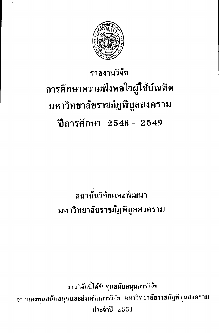

# รายงานวิจัย การศึกษาความพึงพอใจผู้ใช้บัณฑิต มหาวิทยาลัยราชภัฏพิบูลสงคราม ปีการศึกษา 2548 - 2549

# สถาบันวิจัยและพัฒนา มหาวิทยาลัยราชภัฏพิบูลสงคราม

งานวิจัยนี้ได้รับทุนสนับสนุนการวิจัย จากกองทุนสนับสนุนและส่งเสริมการวิจัย มหาวิทยาลัยราชภัฏพิบูลสงคราม ประจำปี 2551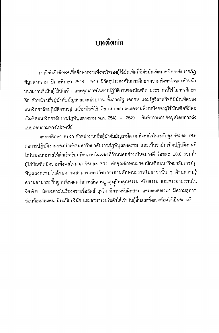## <u>ำเทคัดย่อ</u>

การวิจัยเชิงสำรวจเพื่อศึกษาความพึงพอใจของผู้ใช้บัณฑิตที่มีต่อบัณฑิตมหาวิทยาลัยราชภัฏ พิบูลสงคราม ปีการศึกษา 2548 - 2549 มีวัตถุประสงค์ในการศึกษาความพึงพอใจของหัวหน้า หน่วยงานที่เป็นผู้ใช้บัณฑิต และคุณภาพในการปฏิบัติงานของบัณฑิต ประชากรที่ใช้ในการศึกษา คือ หัวหน้า หรือผู้บังคับบัญชาของหน่วยงาน ทั้งภาครัฐ เอกชน และรัฐวิสาหกิจที่มีบัณฑิตของ มหาวิทยาลัยปฏิบัติงานอยู่ เครื่องมือที่ใช้ คือ แบบสอบถามความพึงพอใจของผู้ใช้บัณฑิตที่มีต่อ บัณฑิตมหาวิทยาลัยราชภัฏพิบูลสงคราม พ.ศ. 2548 – 2549 - ซึ่งทำการเก็บข้อมูลโดยการส่ง แบบสอบถามทางไปรษณีย์

ผลการศึกษา พบว่า หัวหน้างานหรือผู้บังคับบัญชามีความพึงพอใจในระดับสูง ร้อยละ 78.6 ต่อการปฏิบัติงานของบัณฑิตมหาวิทยาลัยราชภัฏพิบูลสงคราม และเห็นว่าบัณฑิตปฏิบัติงานที่ ได้รับมอบหมายให้สำเร็จเรียบร้อยภายในเวลาที่กำหนดอย่างเป็นอย่างดี ร้อยละ 80.6 รวมทั้ง ผู้ใช้บัณฑิตมีความพึ่งพอใจมาก ร้อยละ 70.2 ต่อคุณลักษณะของบัณฑิตมหาวิทยาลัยราชภัฏ พิบูลสงครามในด้านความสามารถทางวิชาการตามลักษณะงานในสาขานั้น ๆ ด้านความรู้ ความสามารถพื้นฐานที่ส่งผลต่อการทำงาน, แจะด้านคุณธรรม จริยธรรม และจรรยาบรรณใน วิชาชีพ โดยเฉพาะในเรื่องความซื่อสัตย์ สุจริต มีความรับผิดชอบ และตรงต่อเวลา มีความสุภาพ อ่อนน้อมถ่อมตน มีระเบียบวินัย และสามารถปรับตัวให้เข้ากับผู้อื่นและสิ่งแวดล้อมได้เป็นอย่างดี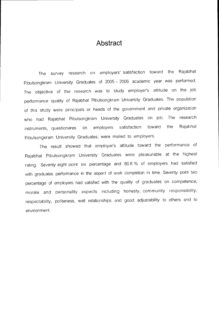#### Abstract

The survey research on employers' satisfaction toward the Rajabhat Pibulsongkram University Graduates of 2005 — 2006 academic year was performed. The objective of the research was to study employer's attitude on the job performance quality of Rajabhat Pibulsongkram University Graduates. The population of this study were principals or heads of the government and private organization who had Rajabhat Pibulsongkram University Graduates on job. The research instruments, questionares on employers satisfaction toward the Rajabhat Pibulsongkram University Graduates, were mailed to employers.

The result showed that employer's attitude toward the performance of Rajabhat Pibulsongkram University Graduates were pleasurable at the highest rating. Seventy eight point six percentage and 80.6 % of employers had satisfied with graduates performance in the aspect of work completion in time. Seventy point two percentage of employers had satisfied with the quality of graduates on competence, morale and personality aspects including honesty, community responsibility, respectability, politeness, well relationships and good adjustability to others and to environment.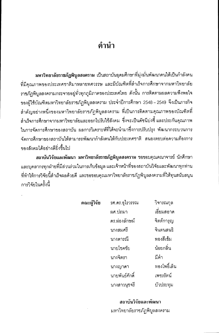## ้คำนำ

้มหาวิทยาลัยราชภัฏพิบูลสงคราม เป็นสถาบันอุดมศึกษาที่มุ่งมั่นพัฒนาคนให้เป็นกำลังคน ที่มีคุณภาพของประเทศชาติมาหลายทศวรรษ และมีบัณฑิตที่สำเร็จการศึกษาจากมหาวิทยาลัย ราชภัฏพิบูลสงครามกระจายอยู่ทั่วทุกภูมิภาคของประเทศไทย ดังนั้น การติดตามผลความพึงพอใจ ของผู้ใช้บัณฑิตมหาวิทยาลัยราชภัฏพิบูลสงคราม ประจำปีการศึกษา 2548 – 2549 จึงเป็นภารกิจ ้สำคัญอย่างหนึ่งของมหาวิทยาลัยราชภัฦพิบูลสงคราม ที่เป็นการติดตามคุณภาพของบัณฑิตที่ ลำเร็จการศึกษาจากมหาวิทยาลัยและออกไปรับใช้สังคม ซึ่งจะเป็นดัชนีบ่งชี้ และประกันคุณภาพ ในการจัดการศึกษาของสถาบัน ผลการวิเคราะห์ที่ได้จะนำมาซึ่งการปรับปรุง พัฒนากระบวนการ ้จัดการศึกษาของสถาบันให้สามารถพัฒนากำลังคนให้กับประเทศชาติ สนองตอบต่อความต้องการ ของสังคมได้อย่างดียิ่งขึ้นไป

สถาบันวิจัยและพัฒนา มหาวิทยาลัยราชภัฏพิบูลสงคราม ขอขอบคุณคณาจารย์ นักศึกษา และบุคลากรทุกฝ่ายที่มีส่วนร่วมในการเก็บข้อมูล และเจ้าหน้าที่ของสถาบันวิจัยและพัฒนาทุกท่าน ที่ทำให้การวิจัยนี้ลำเร็จผลด้วยดี และขอขอบคุณมหาวิทยาลัยราชภัฏพิบูลสงครามที่ให้ทุนสนับสนุน การวิจัยในครั้งนี้

| คณะผู้วิจัย | รศ.ดร.อุไรวรรณ | วิจารณกุล    |
|-------------|----------------|--------------|
|             | ผศ.ปถมา        | เอี่ยมสอาด   |
|             | ดร.ผ่องลักษม์  | จิตต์การุญ   |
|             | นางสมศรี       | จินตนสนธิ    |
|             | นางดารณี       | ทองสีเข้ม    |
|             | นายโชคชัย      | น้อยกลิ่น    |
|             | นางจิตรา       | มีคำ         |
|             | นางญาดา        | ทองโพธิ์เล็น |
|             | นายพันธ์ศักดิ์ | เพชรรัตน์    |
|             | นางสาวนุชจรี   | บัวประทม     |

#### สถาบันวิจัยและพัฒนา มหาวิทยาลัยราชภัฏพิบูลสงคราม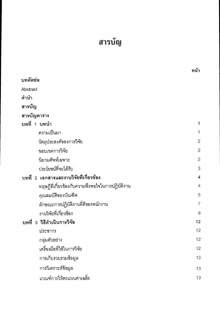# สารบัญ

|                                                 | หน้า           |
|-------------------------------------------------|----------------|
| บทคัดย่อ                                        |                |
| Abstract                                        |                |
| คำนำ                                            |                |
| สารบัญ                                          |                |
| สารบัญตาราง                                     |                |
| บทที่ 1 บทนำ                                    | 1              |
| ความเป็นมา                                      | $\mathbf 1$    |
| วัตถุประสงค์ของการวิจัย                         | $\overline{c}$ |
| ขอบเขตการวิจัย                                  | $\overline{c}$ |
| นิยามศัพท์เฉพาะ                                 | $\overline{c}$ |
| ประโยชน์ที่จะได้รับ                             | 3              |
| บทที่ 2 เอกสารและงานวิจัยที่เกี่ยวข้อง          | $\overline{4}$ |
| ทฤษฎีที่เกี่ยวข้องกับความพึงพอใจในการปฏิบัติงาน | $\overline{4}$ |
| คุณสมบัติของบัณฑิต                              | 5              |
| ลักษณะการปฏิบัติงานที่ดีของพนักงาน              | $\overline{7}$ |
| งานวิจัยที่เกี่ยวข้อง                           | $\mathcal{G}$  |
| บทที่ 3 วิธีดำเนินการวิจัย                      | 12             |
| ประชากร                                         | 12             |
| กลุ่มตัวอย่าง                                   | 12             |
| เครื่องมือที่ใช้ในการวิจัย                      | 12             |
| การเก็บรวบรวมข้อมูล                             | 13             |
| การวิเคราะห์ข้อมูล                              | 13             |
| ้เกณฑ์การให้คะแนนค่าเฉลีย                       | 13             |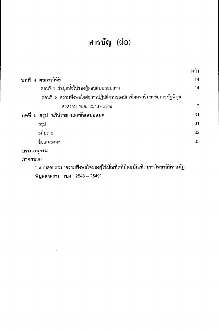## สารบัญ (ต่อ)

|                                                                      | หน้า |
|----------------------------------------------------------------------|------|
| บทที่ 4 ผลการวิจัย                                                   | 14   |
| ้ตอนที่ 1 ข้อมูลทั่วไปของผู้ตอบแบบสอบถาม                             | 14   |
| ้ตอนที่ 2 ความพึงพอใจต่อการปฏิบัติงานของบัณฑิตมหาวิทยาลัยราชภัฏพิบูล |      |
| สงคราม พ.ศ. 2548 - 2549                                              | 19   |
| บทที่ 5 สรุป อภิปราย และข้อเสนอแนะ                                   | 31   |
| ี่สรุป                                                               | 31   |
| อภิปราย                                                              | 32   |
| ข้อเสนอแนะ                                                           | 33   |
| ิบรรณานุกรม                                                          |      |
| ิภาคผนวก                                                             |      |

## \* แบบสอบถาม "ควา<mark>มพึงพอใจของผู้ใช้บัณฑิตที่มีต่อบัณฑิตมหาวิทยาลัยราชภัฏ</mark>

พิบูลสงคราม พ.ศ. 2548 - 2549"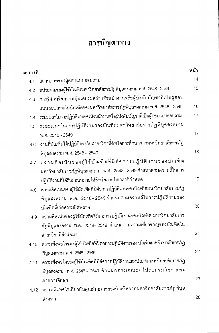## สารบัญตาราง

| ตารางที่ |                                                                              | หน้า |
|----------|------------------------------------------------------------------------------|------|
| 4.1      | สถานภาพของผู้ตอบแบบสอบถาม                                                    | 14   |
| 4.2      | หน่วยงานของผู้ใช้บัณฑิตมหาวิทยาลัยราชภัฏพิบูลสงคราม พ.ศ. 2548 - 2549         | 15   |
| 4.3      | การรู้จักหรือความคุ้นเคยระหว่างหัวหน้างานหรือผู้บังคับบัญชาที่เป็นผู้ตอบ     |      |
|          | แบบสอบถามกับบัณฑิตของมหาวิทยาลัยราชภัฏพิบูลสงคราม พ.ศ. 2548 - 2549           | 16   |
| 4.4      | ระยะเวลาในการปฏิบัติงานของหัวหน้างานหรือผู้บังคับบัญชาที่เป็นผู้ตอบแบบสอบถาม | 17   |
| 4.5      | ระยะเวลาในการปฏิบัติงานของบัณฑิตมหาวิทยาลัยราชภัฏพิบูลสงคราม                 |      |
|          | พ.ศ. 2548 - 2549                                                             | 17   |
| 4.6      | งานที่บัณฑิตได้ปฏิบัติตรงกับสาขาวิชาที่สำเร็จการศึกษาจากมหาวิทยาลัยราชภัฏ    |      |
|          | พิบูลสงคราม พ.ศ. 2548 - 2549                                                 | 18   |
| 4.7      | ความคิดเห็นของผู้ใช้บัณฑิตที่มีต่อการปฏิบัติงานของบัณฑิต                     |      |
|          | มหาวิทยาลัยราชภัฏพิบูลสงคราม พ.ศ. 2548– 2549 จำแนกตามความถี่ในการ            |      |
|          | ปฏิบัติงานที่ได้รับมอบหมายให้ลำเร็จภายในเวลาที่กำหนด                         | 19   |
| 4.8      | ความคิดเห็นของผู้ใช้บัณฑิตที่มีต่อการปฏิบัติงานของบัณฑิตมหาวิทยาลัยราชภัฏ    |      |
|          | พิบูลสงคราม พ.ศ. 2548–2549 จำแนกตามความถี่ในการปฏิบัติงานของ                 |      |
|          | บัณฑิตที่เกิดความผิดพลาด                                                     | 20   |
| 4.9      | ความคิดเห็นของผู้ใช้บัณฑิตที่มีต่อการปฏิบัติงานของบัณฑิต มหาวิทยาลัยราช      |      |
|          | ภัฏพิบูลสงคราม พ.ศ. 2548–2549 จำแนกตามความเชี่ยวชาญของบัณฑิตใน               |      |
|          | ลาขาวิชาที่ลำเร็จมา                                                          | 21   |
| 4.10     | ความพึงพอใจของผู้ใช้บัณฑิตที่มีต่อการปฏิบัติงานของ บัณฑิตมหาวิทยาลัยราชภัฏ   |      |
|          | พิบูลสงคราม พ.ศ. 2548–2549                                                   | 22   |
| 4.11     | ความพึงพอใจของผู้ใช้บัณฑิตที่มีต่อการปฏิบัติงานของบัณฑิตมหาวิทยาลัยราชภัฏ    |      |
|          | พิบูลสงคราม พ.ศ. 2548 – 2549 จำแนกตามคณะ/ โปรแกรมวิชา และ                    |      |
|          | ภาคการศึกษา                                                                  | 23   |
| 4.12     | ความพึงพอใจเกี่ยวกับคุณลักษณะของบัณฑิตจากมหาวิทยาลัยราชภัฏพิบูล              |      |
|          | สงคราม                                                                       | 28   |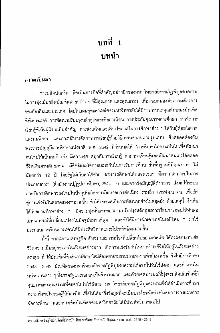# บทที่ 1 <u>ำเทน</u>ำ

#### ความเป็นมา

การผลิตบัณฑิต ถือเป็นภารกิจที่สำคัญอย่างยิ่งของมหาวิทยาลัยราชภัฏพิบูลสงคราม ในการมุ่งเน้นผลิตบัณฑิตสาขาต่าง ๆ ที่มีคุณภาพ และคุณธรรม เพื่อตอบสนองต่อความต้องการ ของท้องถิ่นและประเทศ โดยในแผนยุทธศาสตร์ของมหาวิทยาลัยได้มีการกำหนดคุณลักษณะบัณฑิต ที่พึงประสงค์ การพัฒนาปรับปรุงหลักสูตรและสื่อการเรียน การประกันคุณภาพการศึกษา การจัดการ เรียนรู้ที่เน้นผู้เรียนเป็นลำคัญ การส่งเสริมและสร้างโอกาสในการศึกษาต่าง ๆ ให้กับผู้ด้อยโอกาส และคนพิการ และการบริหารจัดการการเรียนรู้ด้วยวิธีการหลากหลายรูปแบบ ซึ่งสอดคล้องกับ พระราชบัญญัติการศึกษาแห่งชาติ พ.ศ. 2542 ที่กำหนดให้ "การศึกษาไทยจะเป็นไปเพื่อพัฒนา คนไทยให้เป็นคนดี เก่ง มีความสุข สนุกกับการเรียนรู้ สามารถเรียนรู้และพัฒนาตนเองได้ตลอด ชีวิตเต็มตามศักยภาพ มีสิทธิและโอกาสเสมอกันในการรับการศึกษาขั้นพื้นฐานที่มีคุณภาพ ไม่ น้อยกว่า 12 ปี โดยรัฐไม่เก็บค่าใช้จ่าย สามารถศึกษาได้ตลอดเวลา มีความสามารถในการ ประกอบการ" (สำนักงานปฏิรูปการศึกษา, 2544 : 7) และจากข้อบัญญัติดังกล่าว ส่งผลให้ระบบ การจัดการศึกษาของไทยในปัจจุบันเกิดการพัฒนาอย่างต่อเนื่อง รวมถึง การพัฒนาคน เพื่อเข้า สู่การแข่งขันในตลาดแรงงานมากขึ้น ทำให้ประเทศเกิดการพัฒนาอย่างไม่หยุดยั้ง ด้วยเหตุนี้ จึงเห็น ได้ว่าสถานศึกษาต่าง ๆ มีความมุ่งมั่นและพยายามปรับปรุงหลักสูตรการเรียนการสอนให้ทันต่อ สภาพการณ์ที่เปลี่ยนแปลงในปัจจุบันมากที่สุด และยังได้มีการนำเอาเทคโนโลยีใหม่ ๆ มาใช้ ประกอบการเรียนการสอนให้มีประสิทธิภาพและมีประสิทธิผลมากขึ้น

ทั้งนี้ จากสภาพเศรษฐกิจ สังคม และการเมืองที่เปลี่ยนไปอย่างรวดเร็ว ได้ส่งผลกระทบต่อ ชีวิตความเป็นอยู่ของคนในสังคมอย่างมาก เกิดการแข่งขันกันในการดำรงชีวิตให้อยู่ในสังคมอย่าง สงบสุข ทำให้บัณฑิตที่สำเร็จการศึกษาใหม่ต้องพยายามขวนขวายหางานทำกันมากขึ้น ซึ่งในปีการศึกษา 2548 – 2549 บัณฑิตของมหาวิทยาลัยราชภัฏพิบูลสงครามได้ออกไปรับใช้สังคม และทำงานใน หน่วยงานต่าง ๆ ทั้งภาครัฐและเอกชนเป็นจำนวนมาก และด้วยเจตนารมณ์ที่มุ่งจะผลิตบัณฑิตที่มี คุณภาพและคุณธรรมเพื่อออกไปรับใช้สังคม มหาวิทยาลัยราชภัฏพิบูลสงครามจึงได้ดำเนินการศึกษา ความพึงพอใจของผู้ใช้บัณฑิต เพื่อให้ได้มาซึ่งข้อมูลที่จะเป็นประโยชน์อย่างยิ่งต่อการวางแผนการ จัดการศึกษา และการผลิตบัณฑิตของมหาวิทยาลัยให้มีประสิทธิภาพต่อไป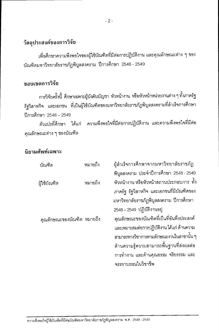#### วัตถุประสงค์ของการวิจัย

เพื่อศึกษาความพึงพอใจของผู้ใช้บัณฑิตที่มีต่อการปฏิบัติงาน และคุณลักษณะต่าง ๆ ของ บัณฑิตมหาวิทยาลัยราชภัฏพิบูลสงคราม ปีการศึกษา 2548 - 2549

#### ขอบเขตการวิจัย

การวิจัยครั้งนี้ ศึกษาเฉพาะผู้บังคับบัญชา หัวหน้างาน หรือหัวหน้าหน่วยงานต่าง ๆ ทั้งภาครัฐ รัฐวิสาหกิจ และเอกชน ที่เป็นผู้ใช้บัณฑิตของมหาวิทยาลัยราชภัฏพิบูลสงครามที่สำเร็จการศึกษา ปีการศึกษา 2548 - 2549

ตัวแปรที่ศึกษา ได้แก่ ความพึงพอใจที่มีต่อการปฏิบัติงาน และความพึงพอใจที่มีต่อ คุณลักษณะต่าง ๆ ของบัณฑิต

### บิยามศัพท์เฉพาะ

| บัณฑิต                     | หมายถึง | ผู้ลำเร็จการศึกษาจากมหาวิทยาลัยราชภัฏ      |
|----------------------------|---------|--------------------------------------------|
|                            |         | พิบูลสงคราม ประจำปีการศึกษา 2548 - 2549    |
| ผู้ใช้บัณฑิต               | หมายถึง | หัวหน้างาน หรือหัวหน้าสถานประกอบการ ทั้ง   |
|                            |         | ภาครัฐ รัฐวิสาหกิจ และเอกชนที่มีบัณฑิตของ  |
|                            |         | มหาวิทยาลัยราชภัฏพิบูลสงคราม ปีการศึกษา    |
|                            |         | 2548 - 2549 ปฏิบัติงานอยู่                 |
| คุณลักษณะของบัณฑิต หมายถึง |         | คุณลักษณะของบัณฑิตที่เป็นที่อันพึงประสงค์  |
|                            |         | และเหมาะสมต่อการปฏิบัติงาน ได้แก่ ด้านความ |
|                            |         | สามารถทางวิชาการตามลักษณะงานในสาขานั้น ๆ   |
|                            |         | ด้านความรู้ความสามารถพื้นฐานที่ส่งผลต่อ    |
|                            |         | การทำงาน และด้านคุณธรรม จริยธรรม และ       |
|                            |         | จรรยาบรรณในวิชาชีพ                         |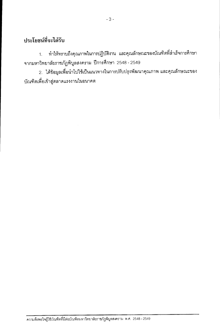### ประโยชน์ที่จะได้รับ

ทำให้ทราบถึงคุณภาพในการปฏิบัติงาน และคุณลักษณะของบัณฑิตที่สำเร็จการศึกษา  $1<sup>1</sup>$ จากมหาวิทยาลัยราชภัฏพิบูลสงคราม ปีการศึกษา 2548 - 2549

2. ได้ข้อมูลเพื่อนำไปใช้เป็นแนวทางในการปรับปรุงพัฒนาคุณภาพ และคุณลักษณะของ บัณฑิตเพื่อเข้าสู่ตลาดแรงงานในอนาคต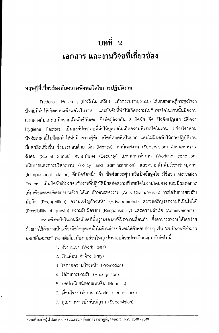# บทที่ 2 เอกสาร และงานวิจัยที่เกี่ยวข้อง

### ทถุษฎีที่เกี่ยวข้องกับความพึงพอใจในการปฏิบัติงาน

Frederick Herzberg (อ้างถึงใน เสถียร แก้วพระปราบ, 2550) ได้เสนอทฤษฎีการจูงใจว่า ้บ้จจัยที่ทำให้เกิดความพึงพอใจในงาน และบัจจัยที่ทำให้เกิดความไม่พึงพอใจในงานนั้นมีความ แตกต่างกันและไม่มีความสัมพันธ์กันเลย ซึ่งมีอยู่ด้วยกัน 2 ปัจจัย คือ **ปัจจัยปฏิเสธ** มีชื่อว่า Hygiene Factors เป็นองค์ประกอบที่ทำให้บุคคลไม่เกิดความพึงพอใจในงาน อย่างไรก็ตาม ้บ้จจัยเหล่านี้ไม่มีผลทำให้ท่าที่ ความรู้สึก หรือทัศนคติเป็นบวก และไม่มีผลทำให้การปฏิบัติงาน มีผลผลิตเพิ่มขึ้น ซึ่งประกอบด้วย เงิน (Money) การนิเทศงาน (Supervision) สถานภาพทาง ้สังคม (Social Status) ความมั่นคง (Security) สภาพการทำงาน (Working condition) นโยบายและการบริหารงาน (Policy and administration) และความสัมพันธ์ระหว่างบุคคล (Interpersonal relation) อีกปัจจัยหนึ่ง คือ **ปัจจัยกระตุ้น หรือปัจจัยจูงใจ** มีชื่อว่า Motivation Factors เป็นปัจจัยเกี่ยวข้องกับงานที่ปฏิบัติมีผลต่อความพึงพอใจในงานโดยตรง และมีผลต่อการ เพิ่มหรือลดผลผลิตของงานด้วย ได้แก่ ลักษณะของงาน (Work Characteristic) การได้รับการยอมรับ นับถือ (Recognition) ความเจริญก้าวหน้า (Advancement) ความเจริญงอกงามที่เป็นไปได้ (Possibility of growth) ความรับผิดชอบ (Responsibility) และความสำเร็จ (Achievement)

ความพึงพอใจในงานถือเป็นคติพื้นฐานของคนที่มีต่องานที่ตนทำ ซึ่งสามารถทราบได้โดยง่าย ้ด้วยการใช้คำถามเป็นเครื่องมือวัดบุคคลนั้นในด้านต่าง ๆ ซึ่งจะให้คำตอบต่าง ๆ เช่น *"ผมรักงานที่ทำมาก แต่เกลียดนาย" เ*จตคติเกี่ยวกับงานส่วนใหญ่ ประกอบด้วยประเด็นแง่มุมดังต่อไปนี้

- 1. ตัวงานเอง (Work itself)
- 2. เงินเดือน ค่าจ้าง (Pay)
- 3 โคกาสความก้าวหน้า (Promotion)
- 4. ได้รับการยอมรับ (Recognition)
- 5. ผลประโยชน์ตอบแทนอื่น (Benefits)
- 6. เงื่อนไขการทำงาน (Working conditions)
- 7. คุณภาพการบังคับบัญชา (Supervision)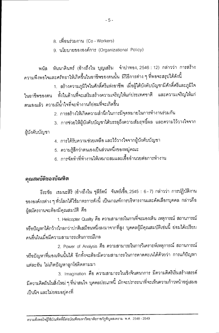- 8. เพื่อนร่วมงาน (Co Workers)
- 9. นโยบายขององค์การ (Organizational Policy)

พนัส หันนาคินทร์ (อ้างถึงใน บุญเสริม จำปาทอง, 2546 : 12) กล่าวว่า การสร้าง ความพึงพอใจและศรัทธาให้เกิดขึ้นในอาชีพของตนนั้น มีวิธีการต่าง ๆ ที่พอจะสรุปได้ดังนี้

1. สร้างความภูมิใจในศักดิ์ศรีแห่งอาชีพ เมื่อผู้ใต้บังคับบัญชามีศักดิ์ศรีและภูมิใจ ในอาชีพของตน ทั้งในด้านที่จะเสริมสร้างความเจริญให้แก่ประเทศชาติ และความเจริญให้แก่ ตนเองแล้ว ความมีน้ำใจที่จะทำงานก็ย่อมที่จะเกิดขึ้น

2. การสร้างให้เกิดความสำนึกในการมีจุดหมายในการทำงานร่วมกัน

3. การช่วยให้ผู้บังคับบัญชาได้บรรลุถึงความสัมฤทธิ์ผล และความไว้วางใจจาก

ผู้บังคับบัญชา

- 4. การได้รับความช่วยเหลือ และไว้วางใจจากผู้บังคับบัญชา
- 5. ความรู้สึกว่าตนเองเป็นส่วนหนึ่งของหมู่คณะ
- 6. การจัดทำที่ทำงานให้เหมาะสมและเอื้ออำนวยต่อการทำงาน

#### คุณสมบัติของบัณฑิต

้ธีระชัย เขมนะสิริ (อ้างถึงใน ชุลีรัตน์ จันทร์เชื้อ, 2545 : 6 - 7) กล่าวว่า การปฏิบัติงาน ขององค์กรต่าง ๆ ทั่วโลกได้ใช้มาตรการดังนี้ เป็นเกณฑ์การบริหารงานและคัดเลือกบุคคล กล่าวคือ ผู้สมัครงานจะต้องมีคุณสมบัติ คือ

1. Helicopter Quality คือ ความสามารถในการที่จะมองเห็น เหตุการณ์ สถานการณ์ หรือปัญหาได้กว้างไกลกว่าปกติเสมือนหนึ่งลงมาจากที่สูง บุคคลผู้มีคุณสมบัติเช่นนี้ ย่อมได้เปรียบ คนคื่นในเมื่อมีความสามารถเห็นการณ์ไกล

2. Power of Analysis คือ ความสามารถในการวิเคราะห์เหตุการณ์ สถานการณ์ หรือปัญหาที่มองเห็นนั้นได้ อีกทั้งจะต้องมีความสามารถในการคาดคะเนได้ด้วยว่า การแก้ปัญหา แต่ละอัน ไม่เกิดปัญหาลูกโซ่ติดตามมา

3. Imagination คือ ความสามารถในเชิงจินตนาการ มีความคิดริเริ่มสร้างสรรค์ มีความคิดฝันในสิ่งใหม่ ๆ ที่น่าสนใจ บุคคลประเภทนี้ มักจะปรารถนาที่จะเห็นความก้าวหน้าอยู่เสมอ เป็นนิจ และไม่ยอมอยู่คงที่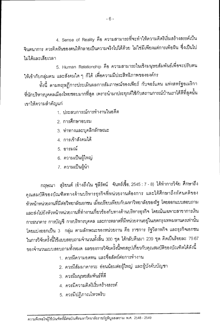4. Sense of Reality คือ ความสามารถที่จะทำให้ความคิดริเริ่มสร้างสรรค์เป็น จินตนาการ ควรคิดฝันของตนให้กลายเป็นความจริงไปได้ด้วย ไม่ใช่มีเพียงแต่การเพ้อฝัน ซึ่งเป็นไป ไม่ได้และเสียเวลา

5. Human Relationship คือ ความสามารถในเชิงมนุษยสัมพันธ์เพื่อจะปรับตน ให้เข้ากับกลุ่มคน และสังคมใด ๆ ก็ได้ เพื่อความมีประสิทธิภาพขององค์กร

ทั้งนี้ ตามทฤษฎีการประเมินผลการสัมภาษณ์ของเพียร์ กับจอร์แดน แห่งสหรัฐอเมริกา ที่นักบริหารบุคคลเมืองไทยชอบมากที่สุด เพราะนำมาประยุกต์ใช้กับสถานการณ์บ้านเราได้ดีที่สุดนั้น เขาให้ความสำคัญแก่

- 1. ประสบการณ์การทำงานในอดีต
- 2 การศึกษาอบรม
- 3. ท่าทางและบุคลิกลักษณะ
- 4. การเข้าสังคมได้
- 5. คารมณ์
- 6. ความเป็นผู้ใหญ่
- 7. ความเป็นผู้นำ

กฤษณา สุริยนต์ (อ้างถึงใน ชุลีรัตน์ จันทร์เชื้อ, 2545 : 7 - 8) ได้ทำการวิจัย ศึกษาถึง คุณสมบัติของบัณฑิตทางด้านบริหารธุรกิจที่หน่วยงานต้องการ และได้ศึกษาถึงทัศนคติของ หัวหน้าหน่วยงานที่มีต่อวิทยาลัยเอกชน เมื่อเปรียบเทียบกับมหาวิทยาลัยของรัฐ โดยออกแบบสอบถาม และส่งไปยังหัวหน้าหน่วยงานที่ทำงานเกี่ยวข้องกับทางด้านบริหารธุรกิจ โดยเน้นเฉพาะสาขาการเงิน การธนาคาร การบัญชี การบริหารบุคคล และการตลาดที่มีหน่วยงานอยู่ในเขตกรุงเทพมหานครเท่านั้น โดยแบ่งออกเป็น 3 กลุ่ม ตามลักษณะของหน่วยงาน คือ ราชการ รัฐวิสาหกิจ และธุรกิจเอกชน ในการวิจัยครั้งนี้ใช้แบบสอบถามจำนวนทั้งสิ้น 300 ชุด ได้กลับคืนมา 239 ชุด คิดเป็นร้อยละ 79.67 ของจำนวนแบบสอบถามทั้งหมด ผลของการวิจัยครั้งนี้พอสรุปเกี่ยวกับคุณสมบัติของบัณฑิตได้ดังนี้

- 1. ควรมีความอดทน และซื่อสัตย์ต่อการทำงาน
- 2. ควรมีส้มมาคารวะ อ่อนน้อมต่อผู้ใหญ่ และผู้บังคับบัญชา
- 3. ควรมีมนุษยสัมพันธ์ที่ดี
- 4. ควรมีความคิดริเริ่มสร้างสรรค์
- 5. ควรมีปฏิภาณไหวพริบ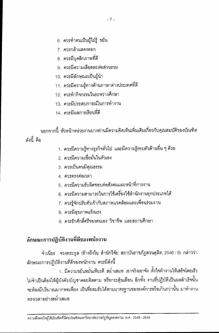- 6. ควรทำตนเป็นผู้ใฝ่รู้ ขยัน
- 7. ควรกล้าแสดงออก
- ่ 8. ควรมีบคลิกภาพที่ดี
- 9. ควรมีความเสียสละต่อส่วนรวม
- 10. ควรมีลักษณะเป็นผู้นำ
- 11. ควรมีความร้ทางด้านภาษาต่างประเทศที่ดี
- 12 ควรทำกิจกรรมในระหว่างศึกษา
- 13 ควรมีประสบการณ์ในการทำงาน
- 14 ควรมีผลการเรียนที่ดี

ึนอกจากนี้ หัวหน้าหน่วยงานบางท่านมีความคิดเห็นเพิ่มเติมเกี่ยวกับคุณสมบัติของบัณฑิต ดังบี้ คือ

- 1. ควรมีความรู้ทางธุรกิจทั่วไป และมีความรู้รอบตัวด้านอื่น ๆ ด้วย
- 2. ควรมีความเชื่อมั่นในตัวเอง
- 3. ควรเป็นคนมีคุณธรรม
- 4 ควรตรงต่อเวลา
- 5 ควรมีความรับผิดชอบต่อสังคมและหน้าที่การงาน
- 6. ควรมีความสามารถในการใช้เครื่องใช้สำนักงานทุกประเภทได้
- 7. ควรรู้จักปรับตัวเข้ากับสภาพแวดล้อมและเพื่อนร่วมงาน
- 8. ควรมีสุขภาพแข็งแรง
- 9 ควรรักศักดิ์ศรีของตนเอง วิชาชีพ และสถานศึกษา

### ลักษณะการปฏิบัติงานที่ดีของพนักงาน

จำเนียร จวงตระกูล (อ้างถึงใน สำนักวิจัย สถาบันราชภัฎสวนดุสิต, 2546 : 9) กล่าวว่า ลักษณะการปฏิบัติงานที่ดีของพนักงาน ควรมีดังนี้

1. มีความขยันหมั่นเพียรดี สม่ำเสมอ เอาจริงเอาจัง ตั้งใจทำงานให้เสร็จโดยเร็ว ไม่จำเป็นต้องให้ผู้บังคับบัญชาคอยติดตาม หรือกระตุ้นเตือน อีกทั้ง งานที่ปฏิบัติเป็นผลลำเร็จนั้น จะต้องมีปริมาณมากพอเพียง เป็นที่ยอมรับได้ตามมาตรฐานขององค์การหรือเกินกว่านั้น มาทำงาน ตรงเวลาอย่างสม่ำเสมอ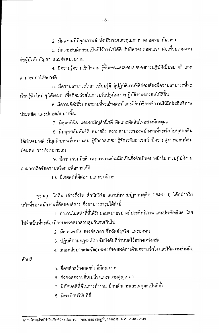่ 2. มีผลงานที่มีคุณภาพดี ทั้งปริมาณและคุณภาพ ตลอดจน ทันเวลา

3. มีความรับผิดชอบเป็นที่ไว้วางใจได้ดี รับผิดชอบต่อตนเอง ต่อเพื่อนร่วมงาน ต่อผู้บังคับบัญชา และต่อหน่วยงาน

4. มีความรู้ความเข้าใจงาน รู้ขั้นตอนและขอบเขตของการปฏิบัติเป็นอย่างดี และ ลามารถทำได้คย่างดี

5. มีความสามารถในการเรียนรู้ดี ผู้ปฏิบัติงานที่ดีย่อมต้องมีความสามารถที่จะ เรียนรู้สิ่งใหม่ ๆ ได้เสมอ เพื่อที่จะช่วยในการปรับปรุงในการปฏิบัติงานของตนให้ดีขึ้น

6. มีความคิดริเริ่ม พยายามที่จะสร้างสรรค์ และคิค้นวิธีการทำงานให้มีประสิทธิภาพ ประหยัด และปลอดภัยมากขึ้น

7. มีดลยพินิจ และสามัญสำนึกดี คิดและตัดสินใจอย่างมีเหตุผล

8. มีมนุษยสัมพันธ์ดี หมายถึง ความสามารถของพนักงานที่จะเข้ากับบุคคลอื่น ได้เป็นอย่างดี มีบุคลิกภาพที่เหมาะสม รู้จักกาลเทศะ รู้จักระงับอารมณ์ มีความสุภาพอ่อนน้อม ก่อบตบ วางตัวเหมาะสม

9. มีความร่วมมือดี เพราะความร่วมมือเป็นสิ่งจำเป็นอย่างยิ่งในการปฏิบัติงาน สามารถสื่อข้อความหรือการสื่อสารได้ดี

10 มีเจตคติที่ดีต่องานและองค์การ

สุชาญ โกสิน (อ้างถึงใน สำนักวิจัย สถาบันราชภัฏสวนดุสิต, 2546 : 9) ได้กล่าวถึง หน้าที่ของพนักงานที่ดีต่อองค์การ ซึ่งสามารถสรุปได้ดังนี้

1. ทำงานในหน้าที่ที่ได้รับมอบหมายอย่างมีประสิทธิภาพ และประสิทธิผล โดย ไม่จำเป็นที่จะต้องมีการตรวจตราควบคุมกันจนเกินไป

2. มีความขยัน ตรงต่อเวลา ซื่อสัตย์สุจริต และอดทน

- 3. ปฏิบัติตามกฎระเบียบข้อบังคับที่กำหนดไว้อย่างเคร่งครัด
- 4. สนองนโยบายและวัตถุประสงค์ขององค์การด้วยความเข้าใจ และให้ความร่วมมือ

ด้วยดี

- 5. ยึดหลักสร้างผลผลิตที่มีคุณภาพ
- 6. ช่วยลดความสิ้นเปลืองและความสูญเปล่า
- 7. มีทัศนคติที่ดีในการทำงาน ยึดหลักการและเหตุผลเป็นที่ตั้ง
- 8 มีระเบียบวินัยที่ดี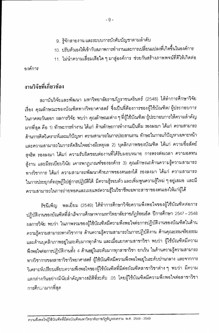- 9. รู้จักสายงาน และระบบการบังคับบัญชาตามลำดับ
- 10. ปรับตัวเองให้เข้ากับสภาพการทำงานและการเปลี่ยนแปลงที่เกิดขึ้นในองค์การ
- 11. ไม่นำความเสื่อมเสียใด ๆ มาสู่องค์การ ช่วยกันสร้างภาพพจน์ที่ดีให้เกิดต่อ

คงค์การ

### งานวิจัยที่เกี่ยวข้อง

สถาบันวิจัยและพัฒนา มหาวิทยาลัยราชภัฏราชนครินทร์ (2548) ได้ทำการศึกษาวิจัย เรื่อง คุณลักษณะของบัณฑิตทางวิทยาศาสตร์ ซึ่งเป็นที่ต้องการของผู้ใช้บัณฑิต/ ผู้ประกอบการ ในภาคตะวันออก ผลการวิจัย พบว่า คุณลักษณะต่าง ๆ ที่ผู้ใช้บัณฑิต/ ผู้ประกอบการให้ความลำคัญ มากที่สุด คือ 1) ทักษะการทำงาน ได้แก่ ด้านทักษะการทำงานเป็นทีม รองลงมา ได้แก่ ความสามารถ ด้านการคิดวิเคราะห์และแก้ปัญหา ความสามารถในการประสานงาน ทักษะในการแก้ปัญหาเฉพาะหน้า และความสามารถในการตัดสินใจอย่างมีเหตุผล 2) บุคลิกภาพของบัณฑิต ได้แก่ ความซื่อสัตย์ สุจริต รองลงมา ได้แก่ ความรับผิดชอบต่องานที่ได้รับมอบหมาย การตรงต่อเวลา ความอดทน สู้งาน และมีระเบียบวินัย เคารพกฎเกณฑ์ขององค์กร 3) คุณลักษณะด้านความรู้ความสามารถ ทางวิชาการ ได้แก่ ความสามารถพัฒนาศักยภาพของตนเองได้ รองลงมา ได้แก่ ความสามารถ ในการประยุกต์ทฤษฎีไปสู่การปฏิบัติได้ มีความรู้รอบตัว และเพิ่มพูนความรู้ใหม่ ๆ อยู่เสมอ และมี ความสามารถในการถ่ายทอดและเผยแพร่ความรู้ในวิชาชีพเฉพาะสาขาของตนเองให้แก่ผู้ได้

รัชนีเพ็ญ พลเยี่ยม (2549) ได้ทำการศึกษาวิจัยความพึงพอใจของผู้ใช้บัณฑิตต่อการ ปฏิบัติงานของบัณฑิตที่สำเร็จการศึกษาจากมหาวิทยาลัยราชภัฏร้อยเอ็ด ปีการศึกษา 2547 – 2548 ผลการวิจัย พบว่า ในภาพรวมของผู้ใช้บัณฑิตมีความพึ่งพอใจต่อการปฏิบัติงานของบัณฑิตในด้าน ความรู้ความสามารถทางวิชาการ ด้านความรู้ความสามารถในการปฏิบัติงาน ด้านคุณธรรมจริยธรรม และด้านบุคลิกภาพอยู่ในระดับมากทุกด้าน และเมื่อแยกตามสาขาวิชา พบว่า ผู้ใช้บัณฑิตมีความ พึ่งพอใจต่อการปฏิบัติงานทั้ง 4 ด้านอยู่ในระดับมากทุกสาขาวิชา ยกเว้น ในด้านความรู้ความสามารถ ทางวิชาการของสาขาวิชาวิทยาศาสตร์ ผู้ใช้บัณฑิตมีความพึงพอใจอยู่ในระดับปานกลาง และจากการ วิเคราะห์เปรียบเทียบความพึงพอใจของผู้ใช้บัณฑิตที่มีต่อบัณฑิตสาขาวิชาต่าง ๆ พบว่า มีความ แตกต่างกันอย่างมีนัยลำคัญทางสถิติที่ระดับ .05 โดยผู้ใช้บัณฑิตมีความพึงพอใจต่อสาขาวิชา การศึกษามากที่สุด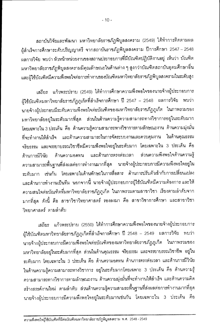สถาบันวิจัยและพัฒนา มหาวิทยาลัยราชภัฏพิบูลสงคราม (2549) ได้ทำการติดตามผล ผู้สำเร็จการศึกษาระดับปริญญาตรี จากสถาบันราชภัฎพิบูลสงคราม ปีการศึกษา 2547 – 2548 ผลการวิจัย พบว่า หัวหน้าหน่วยงานของสถานประกอบการที่มีบัณฑิตปฏิบัติงานอยู่ เห็นว่า บัณฑิต มหาวิทยาลัยราชภัฏพิบูลสงครามมีคุณลักษณะในด้านต่าง ๆ สูงกว่าบัณฑิตสถาบันอุดมศึกษาอื่น และผู้ใช้บัณฑิตมีความพึงพอใจต่อการทำงานของบัณฑิตมหาวิทยาลัยราชภัฏพิบูลสงครามในระดับสูง

เสถียร แก้วพระปราบ (2549) ได้ทำการศึกษาความพึงพอใจของนายจ้างผู้ประกอบการ ผู้ใช้บัณฑิตมหาวิทยาลัยราชภัฏภูเก็ตที่สำเร็จการศึกษา ปี 2547 – 2548 ผลการวิจัย พบว่า นายจ้างผู้ประกอบมีระดับความพึงพอใจต่อบัณฑิตของมหาวิทยาลัยราชภัฏภูเก็ต ในภาพรวมของ ้มหาวิทยาลัยอยู่ในระดับมากที่สุด ส่วนในด้านความรู้ความสามารถทางวิชาการอยู่ในระดับมาก โดยเฉพาะใน 3 ประเด็น คือ ด้านความรู้ความสามารถทางวิชาการตามลักษณะงาน ด้านความมุ่งมั่น ู้ที่จะทำงานให้สำเร็จ และด้านความสามารถในการจัดระบบงานและควบคุมงาน ในด้านคุณธรรม จริยธรรม และจรรยาบรรณวิชาชีพมีความพึ่งพอใจอยู่ในระดับมาก โดยเฉพาะใน 3 ประเด็น คือ ด้านความอดทน และด้านการตรงต่อเวลา ส่วนความพึ่งพอใจด้านความรู้ ด้านการมีวินัย ้ความสามารถพื้นฐานที่ส่งผลต่อการทำงานมากที่สุด นายจ้างผู้ประกอบการมีความพึงพอใจอยู่ใน ระดับมาก เช่นกัน โดยเฉพาะในด้านทักษะในการสื่อสาร ด้านการปรับตัวเข้ากับการเปลี่ยนแปลง และด้านการทำงานเป็นทีม นอกจากนี้ นายจ้างผู้ประกอบการผู้ใช้บัณฑิตมีความต้องการ และให้ ้ความสนใจต่อบัณฑิตที่มหาวิทยาลัยราชภัฎภูเก็ต ในภาพรวมตามสาขาวิชา เรียงตามลำดับจาก มากที่สุด ดังนี้ คือ สาขาวิชาวิทยาศาสตร์ รองลงมา คือ สาขาวิชาการศึกษา และสาขาวิชา วิทยาศาสตร์ ตามลำดับ

เสถียร แก้วพระปราบ (2550) ได้ทำการศึกษาความพึงพอใจของนายจ้างผู้ประกอบการ ้ผู้ใช้บัณฑิตมหาวิทยาลัยราชภัฎภูเก็ตที่สำเร็จการศึกษา ปี 2548 – 2549 ผลการวิจัย พบว่า นายจ้างผู้ประกอบการมีความพึงพอใจต่อบัณฑิตของมหาวิทยาลัยราชภัฏภูเก็ต ในภาพรวมของ ้มหาวิทยาลัยอยู่ในระดับมากที่สุด ส่วนในด้านคุณธรรม จริยธรรม และจรรยาบรรณวิชาชีพ อยู่ใน ระดับมาก โดยเฉพาะใน 3 ประเด็น คือ ด้านความอดทน ด้านการตรงต่อเวลา และด้านการมีวินัย ในด้านความรู้ความสามารถทางวิชาการ อยู่ในระดับมากโดยเฉพาะ 3 ประเด็น คือ ด้านความรู้ ้ความสามารถทางวิชาการตามลักษณะงาน ด้านความมุ่งมั่นที่จะทำงานให้สำเร็จ และด้านความคิด สร้างสรรค์งานใหม่ ตามลำดับ ส่วนด้านความรู้ความสามรถพื้นฐานที่ส่งผลต่อการทำงานมากที่สุด นายจ้างผู้ประกอบการมีความพึงพอใจอยู่ในระดับมากเช่นกัน โดยเฉพาะใน 3 ประเด็น คือ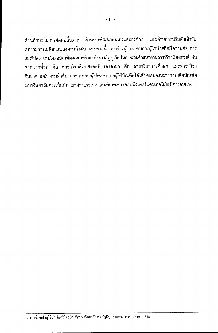ด้านการพัฒนาตนเองและองค์กร และด้านการปรับตัวเข้ากับ ด้านทักษะในการติดต่อสื่อสาร สภาวะการเปลี่ยนแปลงตามลำดับ นอกจากนี้ นายจ้างผู้ประกอบการผู้ใช้บัณฑิตมีความต้องการ และให้ความสนใจต่อบัณฑิตของมหาวิทยาลัยราชภัฏภูเก็ต ในภาพรวมจำแนกตามสาขาวิชาเรียงตามลำดับ จากมากที่สุด คือ สาขาวิชาศิลปศาสตร์ รองลงมา คือ สาขาวิชาการศึกษา และสาขาวิชา วิทยาศาสตร์ ตามลำดับ และนายจ้างผู้ประกอบการผู้ใช้บัณฑิตได้ให้ข้อเสนอแนะว่าการผลิตบัณฑิต ้มหาวิทยาลัยควรเน้นที่ภาษาต่างประเทศ และทักษะทางคอมพิวเตอร์และเทคโนโลยีสารสนเทศ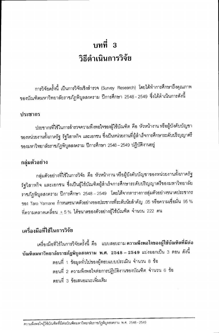# บทที่ 3 วิธีดำเบินการวิจัย

การวิจัยครั้งนี้ เป็นการวิจัยเชิงลำรวจ (Survey Research) โดยได้ทำการศึกษาถึงคุณภาพ ของบัณฑิตมหาวิทยาลัยราชภัฏพิบูลสงคราม ปีการศึกษา 2548 - 2549 ซึ่งได้ดำเนินการดังนี้

#### ประชากร

ประชากรที่ใช้ในการลำรวจความพึงพอใจของผู้ใช้บัณฑิต คือ หัวหน้างาน หรือผู้บังคับบัญชา ของหน่วยงานทั้งภาครัฐ รัฐวิสาหกิจ และเอกชน ซึ่งเป็นหน่วยงานที่ผู้สำเร็จการศึกษาระดับปริญญาตรี ของมหาวิทยาลัยราชภัฏพิบูลสงคราม ปีการศึกษา 2548 – 2549 ปฏิบัติงานอยู่

#### กลุ่มตัวอย่าง

กลุ่มตัวอย่างที่ใช้ในการวิจัย คือ หัวหน้างาน หรือผู้บังคับบัญชาของหน่วยงานทั้งภาครัฐ รัฐวิสาหกิจ และเอกชน ซึ่งเป็นผู้ใช้บัณฑิตผู้ลำเร็จการศึกษาระดับปริญญาตรีของมหาวิทยาลัย ราชภัฏพิบูลสงคราม ปีการศึกษา 2548–2549 โดยได้จากตารางการสุ่มตัวอย่างขนาดประชากร ของ Taro Yamane กำหนดขนาดตัวอย่างของประชากรที่ระดับนัยสำคัญ .05 หรือความเชื่อมั่น 95 % ที่ความคลาดเคลื่อน  $\pm$  5 % ได้ขนาดของตัวอย่างผู้ใช้บัณฑิต จำนวน 222 คน

### เครื่องมือที่ใช้ในการวิจัย

เครื่องมือที่ใช้ในการวิจัยครั้งนี้ คือ แบบสอบถาม ความพึงพอใจของผู้ใช้บัณฑิตที่มีต่อ บัณฑิตมหาวิทยาลัยราชภัฏพิบูลสงคราม พ.ศ. 2548 – 2549 แบ่งออกเป็น 3 ตอน ดังนี้ ตอนที่ 1 ข้อมูลทั่วไปของผู้ตอบแบบประเมิน จำนวน 8 ข้อ ตอนที่ 2 ความพึงพอใจต่อการปฏิบัติงานของบัณฑิต จำนวน 6 ข้อ ตคนที่ 3 ข้อเสนอแนะเพิ่มเติม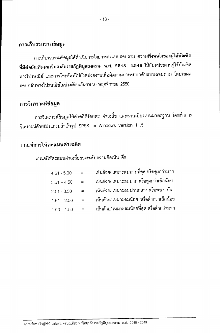### การเก็บรวบรวมข้อมูล

การเก็บรวบรวมข้อมูลได้ดำเนินการโดยการส่งแบบสอบถาม **ความพึงพอใจของผู้ใช้บัณฑิต** ที่มีต่อบัณฑิตมหาวิทยาลัยราชภัฏพิบูลสงคราม พ.ศ. 2548 – 2549 ให้กับหน่วยงานผู้ใช้บัณฑิต ทางไปรษณีย์ และการโทรศัพท์ไปยังหน่วยงานเพื่อติดตามการตอบกลับแบบสอบถาม โดยรอผล ตอบกลับทางไปรษณีย์ในช่วงเดือนกันยายน - พฤศจิกายน 2550

### การวิเคราะห์ข้อมูล

การวิเคราะห์ข้อมูลใช้ค่าสถิติร้อยละ ค่าเฉลี่ย และส่วนเบี่ยงเบนมาตรฐาน โดยทำการ วิเคราะห์ด้วยโปรแกรมสำเร็จรูป SPSS for Windows Version 11.5

## เกณฑ์การให้คะแนนค่าเฉลี่ย

### เกณฑ์ให้คะแนนค่าเฉลี่ยของระดับความคิดเห็น คือ

| $=$                       | เห็นด้วย/ เหมาะสมมากที่สุด หรือสูงกว่ามาก    |
|---------------------------|----------------------------------------------|
| $\mathbf{r} = \mathbf{r}$ | เห็นด้วย/ เหมาะสมมาก หรือสูงกว่าเล็กน้อย     |
| $\equiv$                  | ้เห็นด้วย/ เหมาะสมปานกลาง หรือพอ ๆ กัน       |
| $=$                       | เห็นด้วย/ เหมาะสมน้อย  หรือต่ำกว่าเล็กน้อย   |
| $\equiv$                  | ้ เห็นด้วย/ เหมาะสมน้อยที่สุด หรือต่ำกว่ามาก |
|                           |                                              |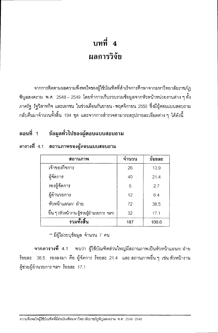# บทที่ 4 ผลการวิจัย

ำจากการติดตามผลความพึงพอใจของผู้ใช้บัณฑิตที่สำเร็จการศึกษาจากมหาวิทยาลัยราชภัฏ พิบูลสงคราม พ.ศ. 2548 – 2549 โดยทำการเก็บรวบรวมข้อมูลจากหัวหน้าหน่วยงานต่าง ๆ ทั้ง ภาครัฐ รัฐวิสาหกิจ และเอกชน ในช่วงเดือนกันยายน - พฤศจิกายน 2550 ซึ่งมีผู้ตอบแบบสอบถาม ึกลับคืนมาจำนวนทั้งสิ้น 194 ชุด และจากการสำรวจสามารถสรุปรายละเอียดต่าง ๆ ได้ดังนี้

### ตอนที่ 1 ข้อมูลทั่วไปของผู้ตอบแบบสอบถาม

| ิสถานภาพ                                   | จำนวน | ร้อยละ |
|--------------------------------------------|-------|--------|
| เจ้าของกิจการ                              | 26    | 13.9   |
| ผู้จัดการ                                  | 40    | 21.4   |
| รองผู้จัดการ                               | 5     | 2.7    |
| ผู้อำนวยการ                                | 12    | 6.4    |
| หัวหน้าแผนก/ ฝ่าย                          | 72    | 38.5   |
| อื่น ๆ (หัวหน้างาน ผู้ช่วยผู้อำนวยการ ฯลฯ) | 32    | 17.1   |
| รวมทั้งสิ้น                                | 187   | 100.0  |

### ตารางที่ 4.1 สถานภาพของผู้ตอบแบบสอบถาม

\*\* มีผู้ไม่ระบุข้อมูล จำนวน 7 คน

ี จากตารางที่ 4.1 พบว่า ผู้ใช้บัณฑิตส่วนใหญ่มีสถานภาพเป็นหัวหน้าแผนก/ ฝ่าย ร้อยละ 38.5 รองลงมา คือ ผู้จัดการ ร้อยละ 21.4 และ สถานภาพอื่น ๆ เช่น หัวหน้างาน ผู้ช่วยผู้อำนวยการ ฯลฯ ร้อยละ 17.1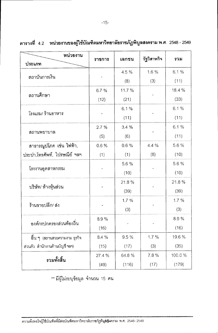| หน่วยงาน                             | ราชการ | เอกชน  | รัฐวิสาหกิจ | รวม    |  |
|--------------------------------------|--------|--------|-------------|--------|--|
| ประเภท                               |        |        |             |        |  |
| สถาบันการเงิน                        |        | 4.5 %  | 1.6 %       | 6.1%   |  |
|                                      |        | (8)    | (3)         | (11)   |  |
| สถานศึกษา                            | 6.7 %  | 11.7 % |             | 18.4 % |  |
|                                      | (12)   | (21)   |             | (33)   |  |
|                                      |        | 6.1%   |             | 6.1%   |  |
| โรงแรม/ ร้านอาหาร                    |        | (11)   |             | (11)   |  |
|                                      | 2.7%   | 3.4%   |             | 6.1%   |  |
| ิสถานพยาบาล                          | (5)    | (6)    |             | (11)   |  |
| ้สาธารณูปโภค เช่น ไฟฟ้า,             | 0.6%   | 0.6%   | 4.4 %       | 5.6%   |  |
| ประปา,โทรศัพท์, ไปรษณีย์ ฯลฯ         | (1)    | (1)    | (8)         | (10)   |  |
|                                      |        | 5.6 %  |             | 5.6 %  |  |
| โรงงานอุตสาหกรรม                     |        | (10)   |             | (10)   |  |
|                                      |        | 21.8%  |             | 21.8%  |  |
| บริษัท/ ห้างหุ้นส่วน                 |        | (39)   |             | (39)   |  |
| ร้านขายปลีก/ ส่ง                     |        | 1.7%   |             | 1.7%   |  |
|                                      |        | (3)    |             | (3)    |  |
| องค์กรปกครองส่วนท้องถิ่น             | 8.9%   |        |             | 8.9%   |  |
|                                      | (16)   |        |             | (16)   |  |
| ച്<br>์อื่น ๆ (สถานสวยความงาม ธุรกิจ | 8.4 %  | 9.5%   | 1.7%        | 19.6 % |  |
| ส่วนตัว สำนักงานด้านบัญชี ฯลฯ)       | (15)   | (17)   | (3)         | (35)   |  |
| รวมทั้งสิ้น                          | 27.4 % | 64.8 % | 7.8 %       | 100.0% |  |
|                                      | (49)   | (116)  | (17)        | (179)  |  |

ตารางที่ 4.2 หน่วยงานของผู้ใช้บัณฑิตมหาวิทยาลัยราชภัฏพิบูลสงคราม พ.ศ. 2548 - 2549

\*\* มีผู้ไม่ระบุข้อมูล จำนวน 15 คน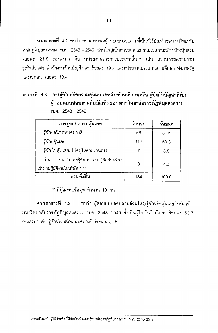**จากตารางที่ 4.2 พ**บว่า หน่วยงานของผู้ตอบแบบสอบถามที่เป็นผู้ใช้บัณฑิตของมหาวิทยาลัย ภาชภัฏพิบูลสงคราม พ.ศ. 2548 – 2549 ส่วนใหญ่เป็นหน่วยงานเอกชนประเภทบริษัท/ ห้างห้นส่วน ว้อยละ 21.8 รองลงมา คือ หน่วยงานราชการประเภทอื่น ๆ เช่น สถานสวยความงาม ธุรกิจส่วนตัว สำนักงานด้านบัญชี ฯลฯ ร้อยละ 19.6 และหน่วยงานประเภทสถานศึกษา ทั้งภาครัฐ และเอกชน ร้อยละ 18.4

#### ตารางที่ 4.3 การรู้จัก หรือความคุ้นเคยระหว่างหัวหน้างานหรือ ผู้บังคับบัญชาที่เป็น ผู้ตอบแบบสอบถามกับบัณฑิตของ มหาวิทยาลัยราชภัฏพิบูลสงคราม **W.A.** 2548 - 2549

| การรู้จัก/ ความคุ้นเคย                                                          | จำนวน | ร้อยละ |
|---------------------------------------------------------------------------------|-------|--------|
| รู้จัก/ สนิทสนมอย่างดี                                                          | 58    | 31.5   |
| ฐ้จัก/ คุ้นเคย                                                                  | 111   | 60.3   |
| ้รู้จัก ไม่คุ้นเคย/ ไม่อยู่ในสายงานตรง                                          |       | 3.8    |
| อื่น ๆ เช่น ไม่เคยรู้จักมาก่อน, รู้จักก่อนที่จะ<br>เข้ามาปฏิบัติงานในบริษัท ฯลฯ | 8     | 4.3    |
| รวมทั้งสิ้น                                                                     | 184   | 100.0  |

\*\* มีผู้ไม่ระบุช้อมูล จำนวน 10 คน

**จากตารางที่** 4.3 พบว่า ผู้ตอบแบบสอบถามส่วนใหญ่รู้จักหรือคุ้นเคยกับบัณฑิต มหาวิทยาลัยราชภัฏพิบูลสงคราม พ.ศ. 2548– 2549 ซึ่งเป็นผู้ใต้บังคับบัญชา ร้อยละ 60.3 รองลงมา คือ รู้จักหรือสนิทสนมอย่างดี ร้อยละ 31.5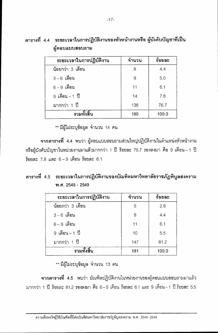| ระยะเวลาในการปฏิบัติงาน | ึจำนวน | ร้อยละ |
|-------------------------|--------|--------|
| น้อยกว่า 3 เดือน        | 8      | 4.4    |
| 3 - 6 เดือน             | 9      | 5.0    |
| 6 – 9 เดือน             | 11     | 6.1    |
| 9 เดือน – 1 ปี          | 14     | 7.8    |
| มากกว่า 1 ปี            | 138    | 76.7   |
| รวมทั้งสิ้น             | 180    | 100.0  |

#### ตารางที่ 4.4 ระยะเวลาในการปฏิบัติงานของหัวหน้างานหรือ ผู้บังคับบัญชาที่เป็น ย์ตลงแบบสลบกาม

\*\* มีผู้ไม่ระบุข้อมูล จำนวน 14 คน

ี จากตารางที่ 4.4 พบว่า ผู้ตอบแบบสอบถามส่วนใหญ่ปฏิบัติงานในตำแหน่งหัวหน้างาน หรือผู้บังคับบัญชาในหน่วยงานมาแล้วมากกว่า 1 ปี ร้อยละ 76.7 รองลงมา คือ 9 เดือน – 1 ปี ร้อยละ 7.8 และ 6-9 เดือน ร้อยละ 6.1

#### ตารางที่ 4.5 ระยะเวลาในการปฏิบัติงานของบัณฑิตมหาวิทยาลัยราชภัฏพิบูลสงคราม พ.ศ. 2548 - 2549

| ระยะเวลาในการปฏิบัติงาน | ึจำนวน | ร้อยละ |
|-------------------------|--------|--------|
| น้อยกว่า 3 เดือน        | 5      | 2.8    |
| $3-6$ เดือน             | 8      | 4.4    |
| $6-9$ เดือน             | 11     | 6.1    |
| 9 เดือน - 1 ปี          | 10     | 5.5    |
| มากกว่า 1 ปี            | 147    | 81.2   |
| รวมทั้งสิ้น             | 181    | 100.0  |

\*\* มีผู้ไม่ระบุข้อมูล จำนวน 13 คน

ี จากตารางที่ 4.5 พบว่า บัณฑิตปฏิบัติงานในหน่วยงานของผู้ตอบแบบสอบถามมาแล้ว มากกว่า 1 ปี ร้อยละ 81.2 รองลงมา คือ 6–9 เดือน ร้อยละ 6.1 และ 9 เดือน–1 ปี ร้อยละ 5.5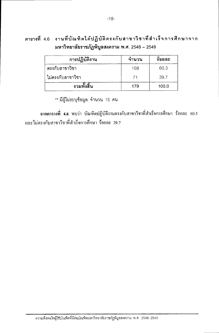ตารางที่ 4.6 งานที่บัณฑิตได้ปฏิบัติดรงกับสาขาวิชาที่สำเร็จการศึกษาจาก มหาวิทยาลัยราชภัฏพิบูลสงคราม พ.ศ. 2548 - 2549

| การปฏิบัติงาน     | ึจำนวน | ร์อยละ |
|-------------------|--------|--------|
| ตรงกับสาขาวิชา    | 108    | 60.3   |
| ไม่ตรงกับสาขาวิชา | -71    | 39.7   |
| รวมทั้งสิ้น       | 179    | 100.0  |

\*\* มีผู้ไม่ระบุข้อมูล จำนวน 15 คน

ิจากตารางที่ 4.6 พบว่า บัณฑิตปฏิบัติงานตรงกับสาขาวิชาที่สำเร็จการศึกษา ร้อยละ 60.3 และไม่ตรงกับสาขาวิชาที่สำเร็จการศึกษา ร้อยละ 39.7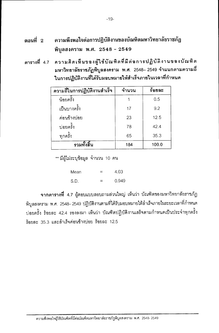- ความพึงพอใจต่อการปฏิบัติงานของบัณฑิตมหาวิทยาลัยราชภัฏ ตอนที่  $2$ พิบูลสงคราม พ.ศ. 2548 - 2549
- ความคิดเห็นของผู้ใช้บัณฑิตที่มีต่อการปฏิบัติงานของบัณฑิต ตารางที่ 4.7 มหาวิทยาลัยราชภัฏพิบูลสงคราม พ.ศ. 2548– 2549 จำแนกตามความถี่ ในการปฏิบัติงานที่ได้รับมอบหมายให้สำเร็จภายในเวลาที่กำหนด

| ความถี่ในการปฏิบัติงานสำเร็จ | จำนวน | ร้อยละ |
|------------------------------|-------|--------|
| น้อยครั้ง                    |       | 0.5    |
| เป็นบางครั้ง                 | 17    | 9.2    |
| ค่อนข้างบ่อย                 | 23    | 12.5   |
| บ่อยครั้ง                    | 78    | 42.4   |
| ทุกครั้ง                     | 65    | 35.3   |
| รวมทั้งสิ้น                  | 184   | 100.0  |

\*\* มีผู้ไม่ระบุข้อมูล จำนวน 10 คน

| Mean | ≍ | 4.03  |
|------|---|-------|
| S.D. | ⋍ | 0.949 |

จากตารางที่ 4.7 ผู้ตอบแบบสอบถามส่วนใหญ่ เห็นว่า บัณฑิตของมหาวิทยาลัยราชภัฏ พิบูลสงคราม พ.ศ. 2548–2549 ปฏิบัติงานตามที่ได้รับมอบหมายให้ลำเร็จภายในระยะเวลาที่กำหนด บ่อยครั้ง ร้อยละ 42.4 รองลงมา เห็นว่า บัณฑิตปฏิบัติงานเสร็จตามกำหนดเป็นประจำทุกครั้ง ร้คยละ 35.3 และสำเร็จค่อนข้างบ่อย ร้อยละ 12.5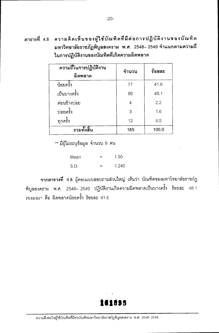| ความถี่ในการปฏิบัติงาน<br>ผิดพลาด | จำนวน | ร้อยละ |
|-----------------------------------|-------|--------|
| น้อยครั้ง                         | 77    | 41.6   |
| เป็นบางครั้ง                      | 89    | 48.1   |
| ค่อนข้างบ่อย                      | 4     | 2.2    |
| บ่อยครั้ง                         | 3     | 1.6    |
| ทุกครั้ง                          | 12    | 6.5    |
| รวมทั้งสิ้น                       | 185   | 100.0  |

\*\* มีผู้ไม่ระบุข้อมูล จำนวน 9 คน

1.90 Mean  $=$ S.D. 1.240  $=$ 

ี จากตารางที่ 4.8 ผู้ตอบแบบสอบถามส่วนใหญ่ เห็นว่า บัณฑิตของมหาวิทยาลัยราชภัฏ พิบูลสงคราม พ.ศ. 2548– 2549 ปฏิบัติงานเกิดความผิดพลาดเป็นบางครั้ง ร้อยละ 48.1 รองลงมา คือ ผิดพลาดน้อยครั้ง ร้อยละ 41.6

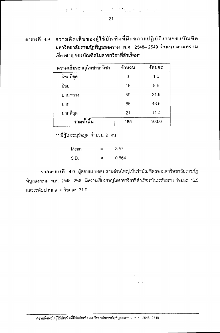$-21-$ 

ดารางที่ 4.9 ความคิดเห็นของผู้ใช้บัณฑิตที่มีต่อการปฏิบัติงานของบัณฑิต มหาวิทยาลัยราชภัฏพิบูลสงคราม พ.ศ. 2548– 2549 จำแนกตามความ เชี่ยวชาญของบัณฑิตในสาขาวิชาที่สำเร็จมา

| ความเชี่ยวชาญในสาขาวิชา | ึจำนวน | ร้อยละ |
|-------------------------|--------|--------|
| น้อยที่สุด              | 3      | 1.6    |
| น้อย                    | 16     | 8.6    |
| ปานกลาง                 | 59     | 31.9   |
| มาก                     | 86     | 46.5   |
| มากที่สุด               | 21     | 11.4   |
| รวมทั้งสิ้น             | 185    | 100.0  |

\*\* มีผู้ไม่ระบุข้อมูล จำนวน 9 คน

| Mean | - | 3.57  |
|------|---|-------|
| S.D. |   | 0.864 |

จากตารางที่ 4.9 ผู้ตอบแบบสอบถามส่วนใหญ่เห็นว่าบัณฑิตของมหาวิทยาลัยราชภัฏ พิบูลสงคราม พ.ศ. 2548–2549 มีความเชี่ยวชาญในสาขาวิชาที่สำเร็จมาในระดับมาก ร้อยละ 46.5 และระดับปานกลาง ร้อยละ 31.9

> $\mathcal{F}(\mathcal{A})$  .  $\tilde{r}_1 = \tilde{r}_2$  .

์ ความพึงพอใจผู้ใช้บัณฑิตที่มีต่อบัณฑิตมหาวิทยาลัยราชภัฏพิบูลสงคราม พ.ศ. 2548-2549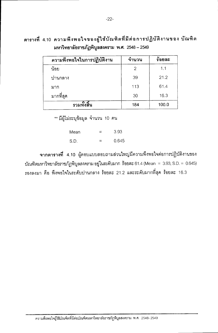ตารางที่ 4.10 ความพึงพอใจของผู้ใช้บัณฑิตที่มีต่อการปฏิบัติงานของ บัณฑิต มหาวิทยาลัยราชภัฏพิบูลสงคราม พ.ศ. 2548 – 2549

| ความพึงพอใจในการปฏิบัติงาน | จำนวน | ร้อยละ |
|----------------------------|-------|--------|
| น้อย                       | 2     | 1.1    |
| ปานกลาง                    | 39    | 21.2   |
| มาก                        | 113   | 61.4   |
| มากที่สุด                  | 30    | 16.3   |
| รวมทั้งสิ้น                | 184   | 100.0  |

\*\* มีผู้ไม่ระบุข้อมูล จำนวน 10 คน

3.93 Mean  $=$  $S.D.$ 0.645  $\equiv$ 

จากตารางที่ 4.10 ผู้ตอบแบบสอบถามส่วนใหญ่มีความพึงพอใจต่อการปฏิบัติงานของ บัณฑิตมหาวิทยาลัยภาชภัฏพิบูลสงคราม อยู่ในระดับมาก ร้อยละ 61.4 (Mean = 3.93, S.D. = 0.645) รองลงมา คือ พึ่งพอใจในระดับปานกลาง ร้อยละ 21.2 และระดับมากที่สุด ร้อยละ 16.3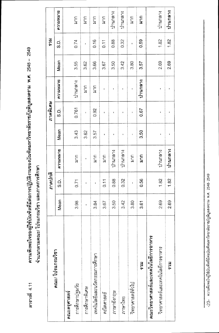ความพึงพอใจของผู้ใช้บัณฑิตที่มีต่อการปฏิบัติงานของบัณฑิตมหาวิทยาลัยราชภัฏพิบูลสงคราม พ.ศ. 2548 – 2549 ตารางที่ 4.11

จำแนกตามคณะ/ โปรแกรมวิชา และภาคการศึกษา

|                                    |      | ภาคปกติ   |                  |                    | ภาคพิเศษ           |             |      | <b>HCGS</b>       |                  |
|------------------------------------|------|-----------|------------------|--------------------|--------------------|-------------|------|-------------------|------------------|
| คณะ/ โปรแกรมวิชา                   | Mean | <u>ດີ</u> | BLIMMICU         | Mean               | <u>(၁</u>          | BURNNALCH   | Mean | ပ္ပဲ              | ความหนาย         |
| คณะครูศาสตร์                       |      |           |                  |                    |                    |             |      |                   |                  |
| การศึกษาปฐมวัย                     | 3.98 | 0.71      | ี่<br>สา         | 3.43               | 0.761              | ปานกลาง     | 3.55 | 0.74              | $\sum_{i=1}^{n}$ |
| การศึกษาพิเศษ                      |      | I         | $\mathbf{I}$     | 3.62               | $\mathbf I$        | $\Xi$       | 3.62 | $\mathbf{I}$      | ี่<br>ล⊂         |
| เทคโนโลยีและนวัตกรรมการศึกษา       | 3.84 | ı         | นาก              | 3.57               | 0.92               | <b>A</b> nd | 3.66 | 0.16              | $\frac{1}{3}$    |
| คณิตศาสตร์                         | 3.67 | 0.11      | $\frac{1}{2}$    | ı                  | ŧ                  | ı           | 3.67 | $\overline{0.11}$ | $\frac{1}{2}$    |
| ภาษาอังกฤษ                         | 3.50 | 0.88      | ปานกลาง          | ł                  | $\pmb{\mathsf{I}}$ | ŧ           | 3.50 | 0.88              | ปานกลาง          |
| ภาษาไทย                            | 3.42 | 0.32      | ปานกลาง          | ı                  | ı                  | ,           | 3.42 | 0.32              | ปานกลาง          |
| วิทยาศาสตร์ทั่วไป                  | 3.80 | ı         | $\Xi$            | $\mathbf{I}$       | $\pmb{\mathsf{I}}$ | ı           | 3.80 | ŧ                 | $\sum_{i=1}^{n}$ |
| รวม                                | 3.61 | 0.56      | $\sum_{i=1}^{n}$ | 3.50               | 0.67               | ปานกลาง     | 3.57 | 0.59              | $\sum_{i=1}^{n}$ |
| คณะวิทยาศาสตร์และเทคโนโลยีการอาหาร |      |           |                  |                    |                    |             |      |                   |                  |
| วิทยาศาสตร์และเทคโนโลยีการอาหาร    | 2.69 | 1.82      | ปานกลาง          | $\pmb{\mathsf{I}}$ | ı                  | ı           | 2.69 | 1.82              | ปานกลาง          |
| ราม                                | 2.69 | 1.82      | ปานกลาง          |                    |                    |             | 2.69 | 1.82              | ปานกลาง          |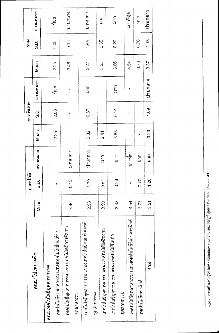|                                                 |      | ภาคปกติ      |                  |              | ภาคพิเศษ             |               |      | <b>HCS</b>   |                  |
|-------------------------------------------------|------|--------------|------------------|--------------|----------------------|---------------|------|--------------|------------------|
| คณะ/ โปรแกรมวิชา                                | Mean | င်<br>လ      | BLRKKLLUM        | Mean         | C.C                  | ความหนาย      | Mean | င်<br>လ      | ความหนาย         |
| คณะเทคโนโลยีอุตสาหกรรม                          |      |              |                  |              |                      |               |      |              |                  |
| เทคโนโลยีอุตสาหกรรม แขนงเทคโนโลยีก่อสร้าง       |      | ı            | ı                | 2.25         | 2.08                 | น้อย          | 2.25 | 2.08         | น้อย             |
| เทคโนโลยีอุตสาหกรรม แขนงเทคโนโลยีการจัดการ      | 3.46 | 0.15         | ปานกลาง          | ı            | ı                    | $\mathbf{I}$  | 3.46 | 0.15         | ปานกลาง          |
| คุตสาหกรรม                                      |      |              |                  |              |                      |               |      |              |                  |
| เทคโนโลยีอุตสาหกรรม แขนงเทคโนโลยีคอมพิวเตอร์    | 2.93 | 1.79         | ปานกลาง          | 3.82         | 0.37                 | <b>AVE</b>    | 3.27 | 1.44         | ปานกลาง          |
| อุดสาหกรรม                                      |      |              |                  |              |                      |               |      |              |                  |
| เทคโนโลยีอุตสาหกรรม แขนงเทคโนโลยีเครื่องกล      | 3.90 | 0.51         | $\sum_{i=1}^{n}$ | 2.41         | $\pmb{\mathfrak{g}}$ | ı             | 3.53 | 0.85         | มาก              |
| เทคโนโลยีอุตสาหกรรม แขนงเทคโนโลยีไฟฟ้า          | 3.62 | 0.38         | $\sum_{i=1}^{n}$ | 3.68         | 0.14                 | าก<br>ส       | 3.66 | 0.20         | $\sum_{i=1}^{n}$ |
| คุดสาหกรรม                                      |      |              |                  |              |                      |               |      |              |                  |
| เทคโนโลยีอุตสาหกรรม แขนงเทคโนโลยีอิเล็กทรอนิกส์ | 4.54 | $\mathbf{I}$ | มากที่สุด        | $\mathbf{I}$ | ŧ                    | $\pmb{\cdot}$ | 4.54 | $\mathbf{I}$ | มากที่สุด        |
| เทคโนโลยีเซรามิกส์                              | 3.73 | 0.70         | $\tilde{\Xi}$    | ı            | ı                    |               | 3.73 | 0.70         | $\Omega$         |
| <b>HCS</b>                                      | 3.51 | 1.20         | $\sum_{i=1}^{n}$ | 3.23         | 1.09                 | ปานกลาง       | 3.37 | 1.13         | ปานกลาง          |

H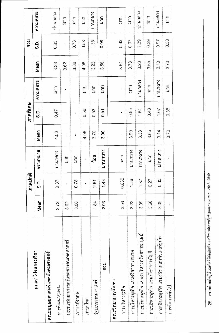|                                           |      | ภาคปกติ      |                      |              | ภาคพิเศษ      |                  |      | <b>HCS</b> |                  |
|-------------------------------------------|------|--------------|----------------------|--------------|---------------|------------------|------|------------|------------------|
| คณะ/ โปรแกรมวิชา                          | Mean | C.<br>S.     | <b>BURNATCH</b>      | Mean         | <u>(၁</u>     | BURNNICU         | Mean | C.<br>S.D. | BURNNALCH        |
| คณะมนุษยศาสตร์และสังคมศาสตร์              |      |              |                      |              |               |                  |      |            |                  |
| การพัฒนาชุมชน                             | 2.72 | 0.37         | ปานกลาง              | 4.03         | 0.47          | ัน<br>ส          | 3.38 | 0.83       | บานกลาง          |
| บรรณารักษาศาสตร์และสารสนเทศศาสตร์         | 3.62 | t,           | $\Xi$                | ł            | $\pmb{\cdot}$ | ı                | 3.62 | f,         | <b>SUR</b>       |
| ภาษาอังกฤษ                                | 3.88 | 0.78         | $\sum_{i=1}^{n}$     | ï            | ı             | $\mathbf{I}$     | 3.88 | 0.78       | $\sum_{i=1}^{n}$ |
| ภาษาไทย                                   | ŧ    | ł            | $\pmb{\mathfrak{t}}$ | 4.06         | 0.58          | ัน<br>สาท        | 4.06 | 0.58       | $\sum_{i=1}^{n}$ |
| วัฐประศาสนศาสตร์                          | 1.84 | 2.61         | น้อย                 | 3.70         | 0.53          | $\sum_{i=1}^{n}$ | 3.23 | 1.38       | ปานกลาง          |
| <b>HCS</b>                                | 2.93 | 1.43         | ปานกลาง              | 3.90         | 0.51          | ราย<br>ส         | 3.58 | 0.98       | mun              |
| คณะวิทยาการจัดการ                         |      |              |                      |              |               |                  |      |            |                  |
| การบริหารธุรกิจ                           | 3.54 | 0.638        | $\sum_{i=1}^{n}$     | $\mathbf{I}$ | ŧ             | ŧ                | 3.54 | 0.63       | <b>AVE</b>       |
| การบริหารธุรกิจ แขนงวิชาการตลาด           | 3.22 | 1.56         | ปานกลาง              | 3.99         | 0.55          | $\Omega$         | 3.73 | 0.97       | $\sum_{i=1}^{n}$ |
| การบริหารธุรกิจ แขนงบริหารทรัพยากรมนุษย์  | 3.09 | 137          | ปานกลาง              | 3.33         | 1.51          | ปานกลาง          | 3.20 | 1.39       | ปานกลาง          |
| การบริหารธุรกิจ แขนงวิชาการบัญชี          | 3.66 | 0.27         | $\sum_{i=1}^{n}$     | 3.65         | 0.43          | $\sum_{i=1}^{n}$ | 3.65 | 0.39       | <b>SH</b>        |
| การบริหารธุรกิจ แขนงวิชาคอมพิวเตอร์ธุรกิจ | 3.09 | 0.35         | ปานกลาง              | 3.14         | 1.07          | ปานกลาง          | 3.13 | 0.97       | นานกลาง          |
| การจัดการทั่วไป                           | ï    | $\mathbf{I}$ | $\mathbf{I}$         | 3.70         | 0.38          | $\sum_{i=1}^{n}$ | 3.70 | 0.38       | <b>CLR</b>       |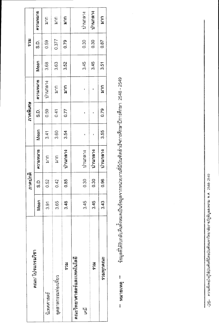|                            |      | ภาคปกติ        |                  |      | ภาคพิเศษ  |                  |      | <b>FC5</b> |                  |
|----------------------------|------|----------------|------------------|------|-----------|------------------|------|------------|------------------|
| คณะ/ โปรแกรมวิชา           | Mean | <u>ດ</u><br>ທ່ | BLINNING         | Mean | <u>ດີ</u> | BLINNING         | Mean | <u>ດີ</u>  | BURNNALCH        |
| นิเทศศาสตร์                | 3.91 | 0.52           | $\sum_{i=1}^{n}$ | 3.41 | 0.59      | ปานกลาง          | 3.68 | 0.59       | <b>SCR</b>       |
| อุตสาหกรรมท่องเที่ยว       | 3.65 | 0.42           | $\sum_{i=1}^{n}$ | 3.60 | 0.41      | $\tilde{\Xi}$    | 3.63 | 0.377      | $\sum_{i=1}^{n}$ |
| <b>RCS</b>                 | 3.48 | 0.85           | ปานกลาง          | 3.54 | 0.77      | มาก              | 3.52 | 0.79       | $\sum_{i=1}^{n}$ |
| คณะวิทยาศาสตร์และเทคโนโลยี |      |                |                  |      |           |                  |      |            |                  |
| پي<br>ڪ                    | 3.45 | 0.30           | ปานกลาง          | ı    | ı         | ı                | 3.45 | 0.30       | ปานกลาง          |
| <b>FC5</b>                 | 3.45 | 0.30           | ปานกลาง          | 1    |           |                  | 3.45 | 0.30       | ปานกลาง          |
| รวมทุกคณะ                  | 3.43 | 0.96           | ปานกลาง          | 3.55 | 0.79      | $\sum_{i=1}^{n}$ | 3.51 | 0.87       | $\sum_{i=1}^{n}$ |

ช้อมูลที่ได้รับกลับคืนทั้งหมดเป็นข้อมูลจากหน่วยงานที่มีบัณฑิตสำเร็จการศึกษาปีการศึกษา 2548 - 2549<br>ข้อมูลที่ได้รับกลับคืนทั้งหมดเป็นข้อมูลจากหน่วยงานที่มีบัณฑิตสำเร็จการศึกษาปีการศึกษา 2548 - 2549 \*\* หมายเหตุ \*\*

I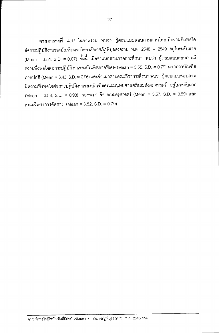ี จากตารางที่ 4.11 ในภาพรวม พบว่า ผู้ตอบแบบสอบถามส่วนใหญ่มีความพึงพอใจ ้ต่อการปฏิบัติงานของบัณฑิตมหาวิทยาลัยราชภัฏพิบูลสงคราม พ.ศ. 2548 – 2549 อยู่ในระดับมาก (Mean = 3.51, S.D. = 0.87) ทั้งนี้ เมื่อจำแนกตามภาคการศึกษา พบว่า ผู้ตอบแบบสอบถามมี ความพึงพอใจต่อการปฏิบัติงานของบัณฑิตภาคพิเศษ (Mean = 3.55, S.D. = 0.79) มากกว่าบัณฑิต ภาคปกติ (Mean = 3.43, S.D. = 0.96) และจำแนกตามคณะวิชาการศึกษา พบว่า ผู้ตอบแบบสอบถาม ้มีความพึงพอใจต่อการปฏิบัติงานของบัณฑิตคณะมนุษยศาสตร์และสังคมศาสตร์ อยู่ในระดับมาก (Mean = 3.58, S.D. = 0.98) รองลงมา คือ คณะครุศาสตร์ (Mean = 3.57, S.D. = 0.59) และ คณะวิทยาการจัดการ (Mean = 3.52, S.D. = 0.79)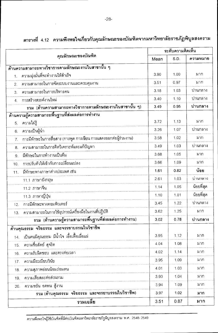|                |                                                                  |      | ระดับความคิดเห็น |            |
|----------------|------------------------------------------------------------------|------|------------------|------------|
|                | คุณลักษณะของบัณฑิด                                               | Mean | S.D.             | ความหมาย   |
|                | ้ด้านความสามารถทางวิชาการดามลักษณะงานในสาขานั้น ๆ                |      |                  |            |
| 1 <sub>1</sub> | ความมุ่งมั่นที่จะทำงานให้สำเร็จ                                  | 3.90 | 1.00             | มาก        |
| 2.             | ความสามารถในการจัดระบบงานและควบคุมงาน                            | 3.51 | 0.97             | มาก        |
| 3.             | ความสามารถในการบริหารคน                                          | 3.18 | 1.03             | ปานกลาง    |
| 4 <sup>1</sup> | การสร้างสรรค์งานใหม่                                             | 3.40 | 1.10             | ปานกลาง    |
|                | ้รวม (ด้านความสามารถทางวิชาการดามลักษณะงานในสาขานั้น ๆ)          | 3.49 | 0.95             | ปานกลาง    |
|                | ด้านความรู้ความสามารถพื้นฐานที่ส่งผลด่อการทำงาน                  |      |                  |            |
| 5.             | ความใฝ่รู้                                                       | 3.72 | 1.13             | มาก        |
| 6.             | ความเป็นผู้นำ                                                    | 3.26 | 1.07             | ปานกลาง    |
| 7.             | การมีทักษะในการสื่อสาร (การพูด การเขียน การแสดงออกต่อผู้ร่วมงาน) | 3.58 | 1.02             | มาก        |
| 8.             | ความสามารถในการคิดวิเคราะห์และแก้ปัญหา                           | 3.49 | 1.03             | ปานกลาง    |
| 9.             | มีทักษะในการทำงานเป็นทีม                                         | 3.68 | 1.05             | มาก        |
| 10.            | การปรับตัวให้เข้ากับการเปลี่ยนแปลง                               | 3.66 | 1.09             | มาก        |
| 11.            | มีทักษะทางภาษาต่างประเทศ เช่น                                    | 1.61 | 0.82             | น้อย       |
|                | 11.1 ภาษาอังกฤษ                                                  | 2.61 | 1.03             | บ่านกลาง   |
|                | 11.2 ภาษาจีน                                                     | 1.14 | 1.05             | น้อยที่สุด |
|                | 11.3 ภาษาญี่ปุ่น                                                 | 1.10 | 1.01             | น้อยที่สุด |
| 12.            | การมีทักษะทางคอมพิวเตอร์                                         | 3.45 | 1.22             | ปานกลาง    |
| 13.            | ความสามารถในการใช้อุปกรณ์เครื่องมือในงานที่ปฏิบัติ               | 3.62 | 1.25             | มาก        |
|                | ้รวม (ด้านความรู้ความสามารถพื้นฐานที่ส่งผลด่อการทำงาน)           | 3.02 | 0.78             | ปานกลาง    |
|                | ด้านคุณธรรม จริยธรรม และจรรยาบรรณในวิชาชีพ                       |      |                  |            |
| 14.            | เป็นคนมีคุณธรรม มีน้ำใจ เอื้อเฟื้อเผื่อแผ่                       | 3.95 | 1.12             | มาก        |
| 15.            | ความชื่อสัตย์ สุจริต                                             | 4.04 | 1.08             | มาก        |
| 16.            | ความรับผิดชอบ และตรงต่อเวลา                                      | 4.02 | 1.14             | มาก        |
| 17.            | ความมีระเบียบวินัย                                               | 3.95 | 1.09             | มาก        |
| 18.            | ความสุภาพอ่อนน้อมถ่อมตน                                          | 4.01 | 1.03             | มาก        |
| 19.            | ความเสียสละต่อส่วนรวม                                            | 3.93 | 1.04             | มาก        |
| 20.            | ความขยัน อดทน สู้งาน                                             | 3.94 | 1.09             | มาก        |
|                | รวม (ด้านคุณธรรม  จริยธรรม  และจรรยาบรรณในวิชาชีพ)               | 3.97 | 1.02             | มาก        |
|                | รวมเฉลี่ย                                                        | 3.51 | 0.87             | มาก        |

## ตารางที่ 4.12 ความพึงพอใจเกี่ยวกับคุณลักษณะของบัณฑิตจากมหาวิทยาลัยราชภัฏพิบูลสงคราม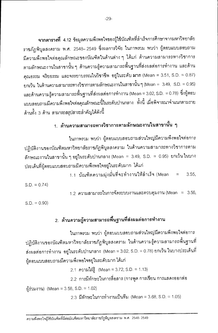จากตารางที่ 4.12 ข้อมูลความพึงพอใจของผู้ใช้บัณฑิตที่ลำเร็จการศึกษาจากมหาวิทยาลัย ราชภัฏพิบูลสงคราม พ.ศ. 2548–2549 ซึ่งผลการวิจัย ในภาพรวม พบว่า ผู้ตอบแบบสอบถาม มีความพึงพอใจต่อคุณลักษณะของบัณฑิตในด้านต่าง ๆ ได้แก่ ด้านความสามารถทางวิชาการ ตามลักษณะงานในสาขานั้น ๆ ด้านความรู้ความสามารถพื้นฐานที่ส่งผลต่อการทำงาน และด้าน คุณธรรม จริยธรรม และจรรยาบรรณในวิชาชีพ อยู่ในระดับ มาก (Mean = 3.51, S.D. = 0.87) ยกเว้น ในด้านความสามารถทางวิชาการตามลักษณะงานในสาขานั้น ๆ (Mean = 3.49, S.D. = 0.95) และด้านความรู้ความสามารถพื้นฐานที่ส่งผลต่อการทำงาน (Mean = 3.02, S.D. = 0.78) ซึ่งผู้ตอบ แบบสอบถามมีความพึงพอใจต่อคุณลักษณะนี้ในระดับปานกลาง ทั้งนี้ เมื่อพิจารณาจำแนกตามราย ด้านทั้ง 3 ด้าน สามารถสรุปสาระลำคัญได้ดังนี้

#### 1. ต้านความสามารถทางวิชาการตามลักษณะงานในสาขานั้น ๆ

ในภาพรวม พบว่า ผู้ตอบแบบสอบถามส่วนใหญ่มีความพึ่งพอใจต่อการ ปฏิบัติงานของบัณฑิตมหาวิทยาลัยราชภัฏพิบูลสงคราม ในด้านความสามารถทางวิชาการตาม ์ ลักษณะงานในสาขานั้น ๆ อยู่ในระดับปานกลาง (Mean = 3.49, S.D. = 0.95) ยกเว้น ในบาง ประเด็นที่ผู้ตอบแบบสอบถามมีความพึงพอใจอยู่ในระดับมาก ได้แก่

> 1.1 บัณฑิตความมุ่งมั่นที่จะทำงานให้ลำเร็จ (Mean  $3.55.$

 $S.D. = 0.74$ 

 $1.2$  ความสามารถในการจัดระบบงานและควบคุมงาน (Mean = 3.56,

 $S.D. = 0.90$ 

#### 2. ต้านความรู้ความสามารถพื้นฐานที่ส่งผลต่อการทำงาน

ในภาพรวม พบว่า ผู้ตอบแบบสอบถามส่วนใหญ่มีความพึงพอใจต่อการ ปฏิบัติงานของบัณฑิตมหาวิทยาลัยราชภัฏพิบูลสงคราม ในด้านความรู้ความสามารถพื้นฐานที่ ส่งผลต่อการทำงาน อยู่ในระดับปานกลาง (Mean = 3.02, S.D. = 0.78) ยกเว้น ในบางประเด็นที่ ผู้ตอบแบบสอบถามมีความพึ่งพอใจอยู่ในระดับมาก ได้แก่

2.1 ความใฝ่รู้ (Mean = 3.72, S.D. = 1.13)

2.2 การมีทักษะในการสื่อสาร (การพูด การเขียน การแสดงออกต่อ

ผู้ร่วมงาน) (Mean = 3.58, S.D. = 1.02)

2.3 มีทักษะในการทำงานเป็นทีม (Mean = 3.68, S.D. = 1.05)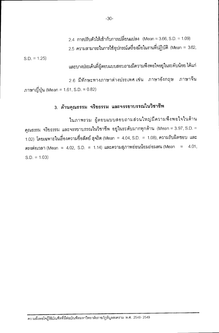2.4 การปรับตัวให้เข้ากับการเปลี่ยนแปลง (Mean = 3.66, S.D. = 1.09) 2.5 ความสามารถในการใช้อุปกรณ์เครื่องมือในงานที่ปฏิบัติ (Mean = 3.62,

 $S.D. = 1.25$ 

และบางประเด็นที่ผู้ตอบแบบสอบถามมีความพึงพอใจอยู่ในระดับน้อย ได้แก่

2.6 มีทักษะทางภาษาต่างประเทศ เช่น ภาษาอังกฤษ ภาษาจีน ภาษาญี่ปุ่น (Mean = 1.61, S.D. = 0.82)

### 3. ด้านคุณธรรม จริยธรรม และจรรยาบรรณในวิชาชีพ

ในภาพรวม ผู้ตอบแบบสอบถามส่วนใหญ่มีความพึงพอใจในด้าน คุณธรรม จริยธรรม และจรรยาบรรณในวิชาชีพ อยู่ในระดับมากทุกด้าน (Mean = 3.97, S.D. =  $1.02)$  โดยเฉพาะในเรื่องความชื่อสัตย์ สุจริต (Mean = 4.04, S.D. = 1.08), ความรับผิดชอบ และ ตรงต่อเวลา (Mean = 4.02, S.D. = 1.14) และความสุภาพอ่อนน้อมถ่อมตน (Mean = 4.01,  $S.D. = 1.03$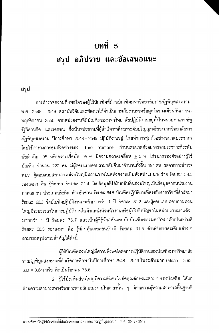# บทที่ 5 สรุป อภิปราย และข้อเสนอแนะ

สรุป

การลำรวจความพึ่งพอใจของผู้ใช้บัณฑิตที่มีต่อบัณฑิตมหาวิทยาลัยราชภัฎพิบูลสงคราม พ.ศ. 2548 – 2549 สถาบันวิจัยและพัฒนาได้ดำเนินการเก็บรวบรวมข้อมูลในช่วงเดือนกันยายน -ีพฤศจิกายน 2550 จากหน่วยงานที่มีบัณฑิตของมหาวิทยาลัยปฏิบัติงานอยู่ทั้งในหน่วยงานภาครัฐ รัฐวิสาหกิจ และเอกชน ซึ่งเป็นหน่วยงานที่ผู้สำเร็จการศึกษาระดับปริญญาตรีของมหาวิทยาลัยราช ภัภพิบลสงคราม ปีการศึกษา 2548–2549 ปฏิบัติงานอยู่ โดยทำการสุ่มตัวอย่างขนาดประชากร โดยใช้ตารางการสุ่มตัวอย่างของ Taro Yamane กำหนดขนาดตัวอย่างของประชากรที่ระดับ นัยลำคัญ .05 หรือความเชื่อมั่น 95 % มีความคลาดเคลื่อน  $\pm$  5 % ได้ขนาดของตัวอย่างผู้ใช้ บัณฑิต จำนวน 222 คน มีผู้ตอบแบบสอบถามกลับคืนมาจำนวนทั้งสิ้น 194คน ผลจากการสำรวจ พบว่า ผู้ตอบแบบสอบถามส่วนใหญ่มีสถานภาพในหน่วยงานเป็นหัวหน้าแผนก/ ฝ่าย ร้อยละ 38.5 รองลงมา คือ ผู้จัดการ ร้อยละ 21.4 โดยข้อมูลที่ได้รับกลับคืนส่วนใหญ่เป็นข้อมูลจากหน่วยงาน ภาคเอกชน ประเภทบริษัท/ ห้างหุ้นส่วน ร้อยละ 64.8 บัณฑิตปฏิบัติงานที่ตรงกับสาขาวิชาที่สำเร็จมา ร้อยละ 60.3 ซึ่งบัณฑิตปฏิบัติงานมาแล้วมากกว่า 1 ปี ร้อยละ 81.2 และผู้ตอบแบบสอบถามส่วน ใหญ่มีระยะเวลาในการปฏิบัติงานในตำแหน่งหัวหน้างานหรือผู้บังคับบัญชาในหน่วยงานมาแล้ว มากกว่า 1 ปี ร้อยละ 76.7 และเป็นผู้ที่รู้จัก/ คุ้นเคยกับบัณฑิตของมหาวิทยาลัยเป็นอย่างดี ร้อยละ 60.3 รองลงมา คือ รู้จัก/ คุ้นเคยค่อนข้างดี ร้อยละ 31.5 สำหรับรายละเอียดต่าง ๆ สามารถสรุปสาระสำคัญได้ดังนี้

1. ผู้ใช้บัณฑิตส่วนใหญ่มีความพึ่งพอใจต่อการปฏิบัติงานของบัณฑิตมหาวิทยาลัย ราชภัฏพิบูลสงครามที่สำเร็จการศึกษาในปีการศึกษา 2548 – 2549 **ในระดับมาก** (Mean = 3.93,  $S.D = 0.64$ ) หรือ คิดเป็นร้อยละ 78.6

2. ผู้ใช้บัณฑิตส่วนใหญ่มีความพึ่งพอใจต่อคุณลักษณะต่าง ๆ ของบัณฑิต ได้แก่ ์ด้านความสามารถทางวิชาการตามลักษณะงานในสาขานั้น ๆ ด้านความรู้ความสามารถพื้นฐานที่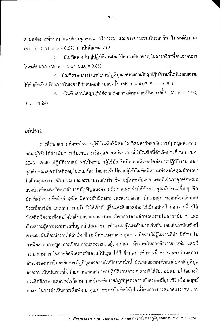ส่งผลต่อการทำงาน และด้านคุณธรรม จริยธรรม และจรรยาบรรณในวิชาชีพ **ในระดับมาก** (Mean = 3.51, S.D = 0.87) คิดเป็นร้อยละ 70.2

บัณฑิตส่วนใหญ่ปฏิบัติงานโดยใช้ความเชี่ยวชาญในสาขาวิชาที่ตนเองจบมา  $\overline{3}$ ในระดับมาก (Mean = 3.57, S.D. = 0.86)

4. บัณฑิตของมหาวิทยาลัยภาชภัฏพิบูลสงครามส่วนใหญ่ปฏิบัติงานที่ได้รับมอบหมาย ให้สำเร็จเรียบร้อยภายในเวลาที่กำหนดอย่างบ่อยครั้ง (Mean = 4.03, S.D. = 0.94)

5 . บัณฑิตส่วนใหญ่ปฏิบัติงานเกิดความผิดพลาดเป็นบางครั้ง (Mean = 1.90,  $S.D. = 1.24$ 

#### อภิปราย

การศึกษาความพึงพอใจของผู้ใช้บัณฑิตที่มีต่อบัณฑิตมหาวิทยาลัยราชภัฏพิบูลสงคราม คณะผู้วิจัยได้ดำเนินการเก็บรวบรวมข้อมูลจากหน่วยงานที่มีบัณฑิตที่สำเร็จการศึกษา พ.ศ. 2548 – 2549 ปฏิบัติงานอยู่ ทำให้ทราบว่าผู้ใช้บัณฑิตมีความพึงพอใจต่อการปฏิบัติงาน และ คุณลักษณะของบัณฑิตอยู่ในเกณฑ์สูง โดยจะเห็นได้จากผู้ใช้บัณฑิตมีความพึงพอใจคุณลักษณะ ในด้านคุณธรรม จริยธรรม และจรรยาบรรณในวิชาชีพ อยู่ในระดับมาก และที่เห็นว่าคุณลักษณะ ของบัณฑิตมหาวิทยาลัยราชภัฏพิบูลสงครามมีมากและเห็นได้ชัดกว่าคุณลักษณะอื่น ๆ คือ บัณฑิตมีความซื่อสัตย์ สุจริต มีความรับผิดชอบ และตรงต่อเวลา มีความสุภาพอ่อนน้อมถ่อมตน มีระเบียบวินัย และสามารถปรับตัวให้เข้ากับผู้อื่นและสิ่งแวดล้อมได้เป็นอย่างดี นอกจากนี้ ผู้ใช้ บัณฑิตมีความพึงพอใจในด้านความสามารถทางวิชาการตามลักษณะงานในสาขานั้น ๆ และ ้ด้านความรู้ความสามารถพื้นฐานที่ส่งผลต่อการทำงานอยู่ในระดับมากเช่นกัน โดยเห็นว่าบัณฑิตมี ความมุ่งมั่นที่จะทำงานให้ลำเร็จ มีการจัดระบบงานควบคุมงาน มีความใฝ่รู้ในงานที่ทำ มีทักษะใน การสื่อสาร (การพูด การเขียน การแสดงออกต่อผู้ร่วมงาน) มีทักษะในการทำงานเป็นทีม และมี ความสามารถในการคิดวิเคราะห์และแก้ปัญหาได้ดี ซึ่งผลการสำรวจนี้ สอดคล้องกับผลการ ลำรวจของมหาวิทยาลัยราชภัฏพิบูลสงครามในปีก่อนหน้านี้ บัณฑิตของมหาวิทยาลัยราชภัฏพิบูล สงคราม เป็นบัณฑิตที่มีศักยภาพและสามารถปฏิบัติงานต่าง ๆ ตามที่ได้รับมอบหมายได้อย่างมี ประสิทธิภาพ แต่อย่างไรก็ตาม มหาวิทยาลัยราชภัฏพิบูลสงครามยังคงต้องมียุทธวิธี หรือกลยุทธ์ ต่าง ๆ ในการดำเนินการเพื่อพัฒนาคุณภาพของบัณฑิตให้เป็นที่ต้องการของตลาดแรงงาน และ

การติดตามผลภาวะการมีงานทำของบัณฑิตมหาวิทยาลัยราชภัฏพิบูลสงคราม พ.ศ. 2548 - 2549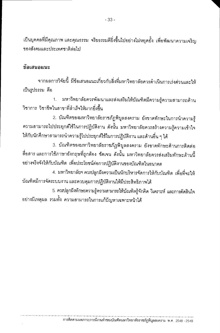เป็นบุคคลที่มีคุณภาพ และคุณธรรม จริยธรรมดียิ่งขึ้นไปอย่างไม่หยุดยั้ง เพื่อพัฒนาความเจริญ ของสังคมและประเทศชาติต่าไป

#### ช้อเสนอแนะ

จากผลการวิจัยนี้ มีข้อเสนอแนะเกี่ยวกับสิ่งที่มหาวิทยาลัยควรดำเนินการเร่งด่วนและให้ เป็นรูปธรรม คือ

มหาวิทยาลัยควรพัฒนาและส่งเสริมให้บัณฑิตมีความรู้ความสามารถด้าน  $1.$ วิชาการ วิชาที่พในสาขาที่สำเร็จให้มากยิ่งขึ้น

2. บัณฑิตของมหาวิทยาลัยราชภัฏพิบูลสงคราม ยังขาดทักษะในการนำความรู้ ความสามารถไปประยุกต์ใช้ในการปฏิบัติงาน ดังนั้น มหาวิทยาลัยควรสร้างความรู้ความเข้าใจ ให้กับนักศึกษาสามารถนำความรู้ไปประยุกต์ใช้ในการปฏิบัติงาน และด้านอื่น ๆ ได้

3. บัณฑิตของมหาวิทยาลัยราชภัฏพิบูลสงคราม ยังขาดทักษะด้านการติดต่อ สื่อสาร และการใช้ภาษาอังกฤษที่ถูกต้อง ชัดเจน ดังนั้น มหาวิทยาลัยควรส่งเสริมทักษะด้านนี้ อย่างจริงจังให้กับบัณฑิต เพื่อประโยชน์ต่อการปฏิบัติงานของบัณฑิตในอนาคต

4. มหาวิทยาลัยฯ ควรปลูกฝังความเป็นนักบริหารจัดการให้กับบัณฑิต เพื่อที่จะให้ บัณฑิตมีการจัดระบบงาน และควบคุมการปฏิบัติงานให้มีประสิทธิภาพได้

5. ควรปลูกฝังทักษะความรู้ความสามารถให้บัณฑิตรู้จักคิด วิเคราะห์ และการตัดสินใจ ้อย่างมีเหตุผล รวมทั้ง ความสามารถในการแก้ปัญหาเฉพาะหน้าได้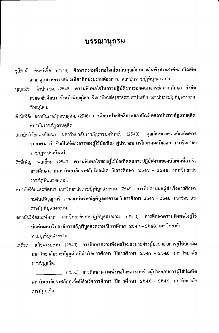#### บรรณานุกรม

- จันทร์เชื้อ. (2546). ศึกษาความพึงพอใจเกี่ยวกับคุณลักษณะอันพึงประสงค์ของบัณฑิต ชลีรัตน์ สาขาอุตสาหกรรมท่องเที่ยวที่หน่วยงานต้องการ. สถาบันราชภัฏพิบูลสงคราม.
- บุญเสริม จำปาทอง. (2546). **ความพึงพอใจในการปฏิบัติงานของคณาจารย์สถานศึกษา สังกัด** ึ กรมอาชีวศึกษา จังหวัดพิษณุโลก. วิทยานิพนธ์ครุศาสตรมหาบัณฑิต สถาบันราชภัฏพิบูลสงคราม พิษณุโลก.
- ้สำนักวิจัย สถาบันราชภัฏสวนดุสิต. (2546). **การศึกษาประสิทธิภาพของบัณฑิตสถาบันราชภัฏสวนดุสิต**. สถาบันราชภัฏสวนดุสิต.
- สถาบันวิจัยและพัฒนา มหาวิทยาลัยราชภัฏราชนครินทร์. (2548). **คุณลักษณะของบัณฑิตทาง** วิทยาศาสตร์ ซึ่งเป็นที่ต้องการของผู้ใช้บัณฑิต/ ผู้ประกอบการในภาคตะวันออก. มหาวิทยาลัย ราชภัภราชนครินทร์.
- รัชนีเพ็ญ พลเยี่ยม. (2549). **ความพึงพอใจของผู้ใช้บัณฑิตต่อการปฏิบัติงานของบัณฑิตที่สำเร็จ** การศึกษาจากมหาวิทยาลัยราชภัฏร้อยเอ็ด ปีการศึกษา 2547 - 2548. มหาวิทยาลัย ราชภัฏพิบูลสงคราม.
- สถาบันวิจัยและพัฒนา มหาวิทยาลัยราชภัฏพิบูลสงคราม. (2549). <mark>การติดตามผลผู้สำเร็จการศึกษา</mark> ระดับปริญญาตรี จากสถาบันราชภัฏพิบูลสงคราม ปีการศึกษา 2547 – 2548. มหาวิทยาลัย ราชภัฏพิบูลสงคราม.
- สถาบันวิจัยและพัฒนา มหาวิทยาลัยราชภัฎพิบูลสงคราม. (2550). **การศึกษาความพึงพอใจผู้ใช**้ บัณฑิตมหาวิทยาลัยราชภัฏพิบูลสงคราม ปีการศึกษา 2547 – 2548. มหาวิทยาลัย ราชภัฏพิบูลสงคราม.
- เสถียร แก้วพระปราบ. (2549). การศึกษาความพึงพอใจของนายจ้างผู้ประกอบการผู้ใช้บัณฑิต มหาวิทยาลัยราชภัฏภูเก็ตที่สำเร็จการศึกษา ปีการศึกษา 2547 - 2548. มหาวิทยาลัย ราชภัฏภูเก็ต.

\_\_. (2550). การศึกษาความพึงพอใจของนายจ้างผู้ประกอบการผู้ใช้บัณฑิต มหาวิทยาลัยราชภัฏภูเก็ตที่สำเร็จการศึกษา ปีการศึกษา 2548 - 2549. มหาวิทยาลัย ราชภัฏภูเก็ต.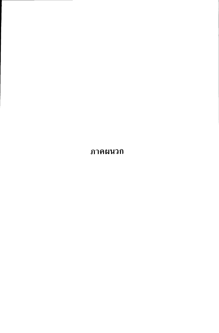ภาคผนวก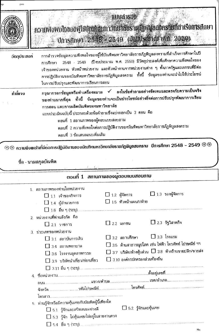|              | Unstinut 2516 2549 (datusting wie 2550)                                                                                                                                                                                                                                                                                                | <b>MUUd1S99</b>                                                            | ความพังพอใจของพู่ให้บ้านที่ตบทำวิที่นำลับราหนึ่งพนลสงครามที่สาเริงการสถบา                                                                                     |
|--------------|----------------------------------------------------------------------------------------------------------------------------------------------------------------------------------------------------------------------------------------------------------------------------------------------------------------------------------------|----------------------------------------------------------------------------|---------------------------------------------------------------------------------------------------------------------------------------------------------------|
| วัตถุประสงค์ | การสำรวจข้อมูลความพึงพอใจของผู้ใช้บัณฑิตมหาวิทยาลัยราชภัฏพิบูลสงครามที่สำเร็จการศึกษาในปี<br>การศึกษา<br>เจ้าของทน่วยงาน หัวหน้าหน่วยงาน และหัวหน้างานจากหน่วยงานต่าง ๆ ทั้งภาครัฐและเอกชนที่มีต่อ<br>การปฏิบัติงานของบัณฑิตมหาวิทยาลัยราชภัฏพิบูลสงคราม ทั้งนี้ ข้อมูลของท่านจะนำไปใช้ประโยชน์<br>ในการปรับปรุงและพัฒนาการเรียนการสอน |                                                                            | 2548 - 2549 - (ปี่งบประมาณ พ.ศ. 2550) มีวัตถุประสงค์เพื่อศึกษาความพึงพอใจของ                                                                                  |
| ้ค่าขี้แจง   | กรุณากรอกข้อมูลหรือทำเครื่องหมาย<br>ของท่านมากที่สุด ทั้งนี้ ข้อมูลของท่านจะเป็นประโยชน์อย่างยิ่งต่อการปรับปรุงพัฒนาการเรียน<br>การสอน และการผลิตบัณฑิตของมหาวิทยาลัย<br>แบบประเมินฉบับนี้ ประกอบด้วยข้อคำถามซึ่งแบ่งออกเป็น 3 ตอน คือ<br>ตอนที่ 1 สถานภาพของผู้ตอบแบบสอบถาม<br>ตอนที่ 3 ข้อเสนอแนะเพิ่มเติม                           | ตอนที่  2 ความพึงพอใจต่อการปฏิบัติงานของบัณฑิตมหาวิทยาลัยราชภัฏพิบูลสงคราม | ✔ ลงในข้อคำถามอย่างชัดเจนและตรงกับความเป็นจริง                                                                                                                |
|              | $\circledR\otimes$ ความพึงพอไจที่มีตอการปฏิบัติงานของบัณฑิตมหาวิทยาลัยราชกัฏพิบูลสงคราม  ปีการศึกษา 2548 – 2549 $\circledR\otimes$<br>ชื่อ - นามสกุลบัณฑิต<br>ตอนที่ 1                                                                                                                                                                 | สถานภาพของผูตอบแบบสอบถาม                                                   |                                                                                                                                                               |
|              | 1. สถานภาพของท่านในหน่วยงาน<br>$\Box$ $1.1$ เจ้าของกิจการ                                                                                                                                                                                                                                                                              |                                                                            |                                                                                                                                                               |
|              | $\Box$ 1.4 ผู้อำนวยการ                                                                                                                                                                                                                                                                                                                 | $\Box$ 1.2 ผู้จัดการ<br>$\square$ 1.5 หัวหน้าแผนก/ฝ่าย                     | $\Box$ 1.3 รองผู้จัดการ                                                                                                                                       |
|              | 2. หน่วยงานที่ท่านสังกัด คือ<br>$\Box$ 2.1 ราชการ<br>3. ประเภทของหน่วยงาน                                                                                                                                                                                                                                                              | $\square$ 2.2 เอกชน                                                        | $\square$ 2.3 รัฐวิสาหกิจ                                                                                                                                     |
|              | $\square$ 3.1 สถาบันการเงิน<br>$\Box$ 3.4 สถานพยาบาล<br>$\Box$ 3.6 โรงงานอุตสาหกรรม<br>$\square$ 3.9 บริษัทนำเที่ยว/ท่องเที่ยว                                                                                                                                                                                                         | $\square$ 3.2 สถานศึกษา<br>$\square$ 3.10 องค์กรปกครองส่วนท้องถิ่น         | $\square$ 3.3 โรงแรม<br>$\Box$ 3.5 -ต้านสาธารณูปโภค เช่น ไฟฟ้า โทรศัพท์ ไปรษณีย์ ฯฯ<br>$\square$ 3.7 บริษัท/ห้างหุ้นส่วน $\square$ 3.8 ห้างร้านขายปลีก/ขายส่ง |

| วีย์แผ่วดหนา เหน่นผลลอกอะแบบให้และ และ |                                |
|----------------------------------------|--------------------------------|
| $\Box$ 5.1 รู้จักและสนิทสนมอย่างดี     | $\square$ 5.2 รู้จักและคุ้นเคย |

| and the contract of the contract of the contract of the contract of the contract of the contract of the contract of the contract of the contract of the contract of the contract of the contract of the contract of the contra |
|--------------------------------------------------------------------------------------------------------------------------------------------------------------------------------------------------------------------------------|
| $\Box$ 5.3 รู้จัก ไม่คุ้นเคย/ไม่อยู่ในสายงานตรง                                                                                                                                                                                |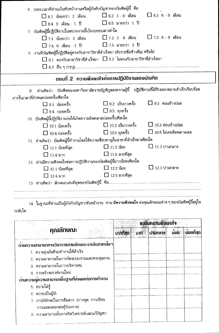|                                                                                                                    | 6. ระยะเวลาที่ท่านเป็นหัวหน้างานหรือผู้บังคับบัญชาของบัณฑิตผู้นี้ คือ |                                                   |
|--------------------------------------------------------------------------------------------------------------------|-----------------------------------------------------------------------|---------------------------------------------------|
| $\Box$ 6.1 น้อยกว่า 3 เดือน $\Box$ 6.2 3 - 6 เดือน $\Box$ 6.3 6 - 9 เดือน                                          |                                                                       |                                                   |
| $\Box$ 6.4 9 เดือน - 1 ปี $\Box$ 6.5 มากกว่า 1 ปี                                                                  |                                                                       |                                                   |
| 7. บัณฑิตผู้นี้ปฏิบัติงานในหน่วยงานนี้เป็นระยะเวลาเท่าใด                                                           |                                                                       |                                                   |
| $\square$ 7.1 น้อยกว่า 3 เดือน                                                                                     |                                                                       |                                                   |
| $\Box$ 7.4 9 เดือน - 1 ปี $\Box$ 7.5 มากกว่า 1 ปี                                                                  |                                                                       |                                                   |
| 8. งานที่บัณฑิตผู้นี้ปฏิบัติอยู่ตรงกับสาขาวิชาที่สำเร็จมา (ดังรายชื่อข้างต้น) หรือไม่                              |                                                                       |                                                   |
| $\Box$ 8.1 ตรงกับสาขาวิชาที่สำเร็จมา $\Box$ 8.2 ไม่ตรงกับสาขาวิชาที่สำเร็จมา                                       |                                                                       |                                                   |
|                                                                                                                    |                                                                       |                                                   |
| ตอนที่ 2 ความพึงพอใจต่อการปฏิบัติงานของบัณฑิต                                                                      |                                                                       |                                                   |
| ท่านคิดว่า บัณฑิตของมหาวิทยาลัยราชภัฏพิบูลสงครามผู้นี้ ปฏิบัติงานที่ได้รับมอบหมายสำเร็จเรียบร้อย<br>9 <sub>1</sub> |                                                                       |                                                   |
| ภายในเวลาที่กำหนดบ่อยครั้งเพียงใด                                                                                  |                                                                       |                                                   |
| $\square$ 9.1 น้อยครั้ง                                                                                            | $\Box$ 9.2 เป็นบางครั้ง $\Box$ 9.3 ค่อนข้างบ่อย                       |                                                   |
|                                                                                                                    |                                                                       |                                                   |
| $\Box$ 9.4 บ่อยครั้ง                                                                                               | $\Box$ 9.5 ทุกครั้ง                                                   |                                                   |
| 10. บัณฑิตผู้นี้ปฏิบัติงานก่อให้เกิดความผิดพลาดบ่อยครั้งเพียงใด                                                    |                                                                       |                                                   |
| $\Box$ 10.1 น้อยครั้ง                                                                                              |                                                                       | $\Box$ 10.2 เป็นบางครั้ง $\Box$ 10.3 ค่อนข้างบ่อย |
| $\Box$ 10.4 บ่อยครั้ง                                                                                              | $\Box$ 10.5 ทุกครั้ง                                                  | $\Box$ $10.6$ ไม่เคยผิดพลาดเลย                    |
| 11. ท่านคิดว่า บัณฑิตผู้นี้ทำงานโดยใช้ความเชี่ยวชาญในสาขาที่สำเร็จมาเพียงใด                                        |                                                                       |                                                   |
| $\Box$ 11.1 น้อยที่สุด                                                                                             | $\Box$ 11.2 น้อย                                                      | $\Box$ 11.3 ปานกลาง                               |
| $\Box$ 11.4 มาก                                                                                                    | $\Box$ 11.5 มากที่สุด                                                 |                                                   |
| 12. ท่านมีความพึงพอใจต่อการปฏิบัติงานของบัณฑิตผู้นี้มากน้อยเพียงใด                                                 |                                                                       |                                                   |
| $\square$ 12.1 น้อยที่สุด                                                                                          | $\Box$ 12.2 น้อย                                                      | $\square$ 12.3 ปานกลาง                            |
| $\Box$ 12.4 มาก                                                                                                    | $\Box$ 12.5 มากที่สุด                                                 |                                                   |

14. ในฐานะที่ท่านเป็นผู้บังคับบัญชา/หัวหน้างาน ท่าน มีความพึงพอใจ ต่อคุณลักษณะต่าง ๆ ของบัณฑิตผู้นี้อยู่ใน ระดับใด

|                                                  |          | <b>ระดับคอามพึงพอใจ</b> |                            |            |
|--------------------------------------------------|----------|-------------------------|----------------------------|------------|
| <b>คุณลักษณะ</b>                                 | มากที่สด | ุ้ มาก ปานกลาง          | $\mathring{\mathbf{u}}$ อย | ้นอยที่สุด |
| ์ด้านความสามารถทางวิชาการตามลักษณะงานในสาขานั้นๆ |          |                         |                            |            |
| 1. ความมุ่งมั่นที่จะทำงานให้สำเร็จ               |          |                         |                            |            |
| 2. ความสามารถในการจัดระบบงานและควบคุมงาน         |          |                         |                            |            |
| 3. ความสามารถในการบริหารคน                       |          |                         |                            |            |
| 4. การสร้างสรรค์งานใหม่                          |          |                         |                            |            |
| ด้านความรู้ความสามารถพื้นฐานที่สงผลต่อการทำงาน   |          |                         |                            |            |
| 5. ความใฝ่รู้                                    |          |                         |                            |            |
| 6. ความเป็นผู้นำ                                 |          |                         |                            |            |
| 7. การมีทักษะในการสื่อสาร (การพูด การเขียน       |          |                         |                            |            |
| การแสดงออกต่อผู้ร่วมงาน)                         |          |                         |                            |            |
| 8. ความสามารถในการคิดวิเคราะห์และแก้ปัญหา        |          |                         |                            |            |
|                                                  |          |                         |                            |            |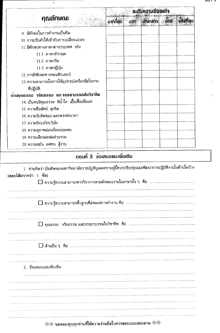|  | ъ |  |  |
|--|---|--|--|
|--|---|--|--|

|                                                                                                                                |           |          | <b>ระดับคอามพึงพอ</b> ไจ     |      |            |
|--------------------------------------------------------------------------------------------------------------------------------|-----------|----------|------------------------------|------|------------|
| <b>คุณลักษณะ</b>                                                                                                               | มากที่สุด | $\nu$ in | <b><i><u>Ununano</u></i></b> | น้อย | นอัยที่สุด |
| 9. มีทักษะในการทำงานเป็นทีม                                                                                                    |           |          |                              |      |            |
| 10. การปรับตัวให้เข้ากับการเปลี่ยนแปลง                                                                                         |           |          |                              |      |            |
| 11 มีทักษะทางภาษาต่างประเทศ เช่น                                                                                               |           |          |                              |      |            |
| 11.1 ภาษาอังกฤษ                                                                                                                |           |          |                              |      |            |
| 11.2 ภาษาจีน                                                                                                                   |           |          |                              |      |            |
| 11.3 ภาษาญี่ปุ่น                                                                                                               |           |          |                              |      |            |
| 12. การมีทักษะทางคอมพิวเตอร์                                                                                                   |           |          |                              |      |            |
| 13. ความสามารถในการใช้อุปกรณ์เครื่องมือในงาน                                                                                   |           |          |                              |      |            |
| ที่ปฏิบัติ                                                                                                                     |           |          |                              |      |            |
| ดานคุณธรรม จริยธรรม และจรรยาบรรณในวิชาชีพ                                                                                      |           |          |                              |      |            |
| 14 เป็นคนมีคุณธรรม มีน้ำใจ เอื้อเฟื้อเผื่อแผ่                                                                                  |           |          |                              |      |            |
| 15 ความชื่อสัตย์ สุจริต                                                                                                        |           |          |                              |      |            |
| 16. ความรับผิดชอบ และตรงต่อเวลา                                                                                                |           |          |                              |      |            |
| 17. ความมีระเบียบวินัย                                                                                                         |           |          |                              |      |            |
| 18. ความสุภาพอ่อนน้อมถ่อมตน                                                                                                    |           |          |                              |      |            |
| 19. ความเสียสละต่อส่วนรวม                                                                                                      |           |          |                              |      |            |
| 20 ความขยัน อดทน สู้งาน                                                                                                        |           |          |                              |      |            |
| ตอนที่ 3 ข้อเสนอแนะเพิ่มเติม                                                                                                   |           |          |                              |      |            |
| 1. ท่านคิดว่า บัณฑิตของมหาวิทยาลัยราชภัฏพิบูลสงครามผู้นี้ควรปรับปรุงและพัฒนาการปฏิบัติงานในด้านใตบ้าง<br>(ตอบได้มากกว่า 1 ข้อ) |           |          |                              |      |            |
|                                                                                                                                |           |          |                              |      |            |
|                                                                                                                                |           |          |                              |      |            |
|                                                                                                                                |           |          |                              |      |            |
|                                                                                                                                |           |          |                              |      |            |

## $\circledR \circledR$  ขอขอบคุณทุกท่านที่ให้ความร่วมมือในการตอบแบบสอบถาม  $\circledR \circledR$